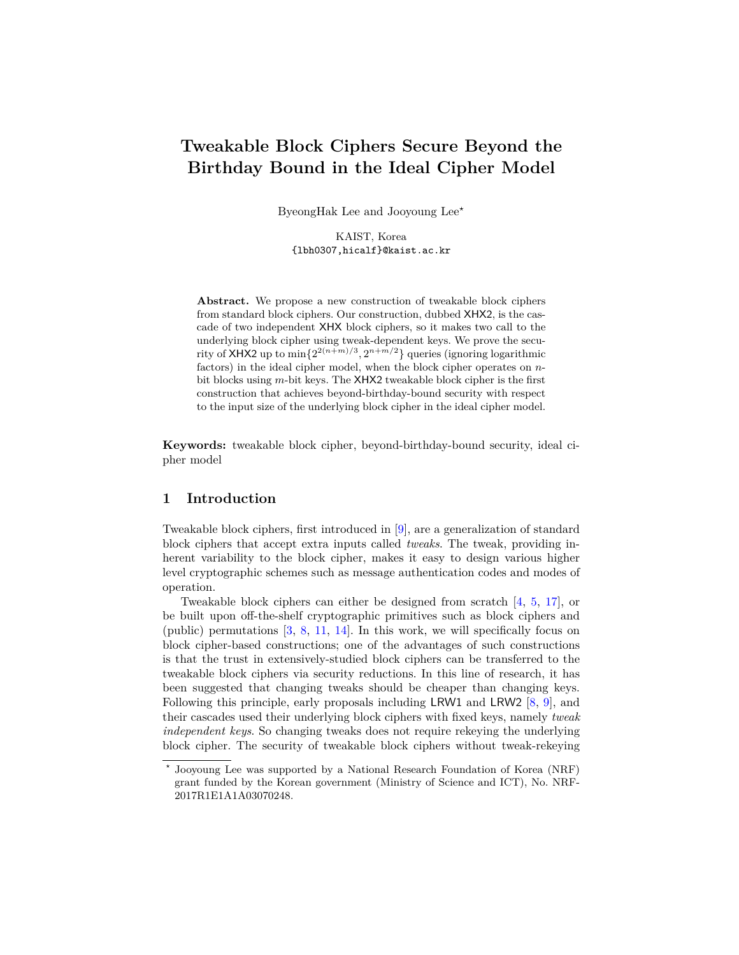# **Tweakable Block Ciphers Secure Beyond the Birthday Bound in the Ideal Cipher Model**

ByeongHak Lee and Jooyoung Lee*?*

KAIST, Korea {lbh0307,hicalf}@kaist.ac.kr

**Abstract.** We propose a new construction of tweakable block ciphers from standard block ciphers. Our construction, dubbed XHX2, is the cascade of two independent XHX block ciphers, so it makes two call to the underlying block cipher using tweak-dependent keys. We prove the security of XHX2 up to  $\min\{2^{2(n+m)/3}, 2^{n+m/2}\}\$  queries (ignoring logarithmic factors) in the ideal cipher model, when the block cipher operates on *n*bit blocks using *m*-bit keys. The XHX2 tweakable block cipher is the first construction that achieves beyond-birthday-bound security with respect to the input size of the underlying block cipher in the ideal cipher model.

**Keywords:** tweakable block cipher, beyond-birthday-bound security, ideal cipher model

## **1 Introduction**

Tweakable block ciphers, first introduced in [\[9\]](#page-29-0), are a generalization of standard block ciphers that accept extra inputs called *tweaks*. The tweak, providing inherent variability to the block cipher, makes it easy to design various higher level cryptographic schemes such as message authentication codes and modes of operation.

Tweakable block ciphers can either be designed from scratch [\[4,](#page-29-1) [5,](#page-29-2) [17\]](#page-29-3), or be built upon off-the-shelf cryptographic primitives such as block ciphers and (public) permutations [\[3,](#page-29-4) [8,](#page-29-5) [11,](#page-29-6) [14\]](#page-29-7). In this work, we will specifically focus on block cipher-based constructions; one of the advantages of such constructions is that the trust in extensively-studied block ciphers can be transferred to the tweakable block ciphers via security reductions. In this line of research, it has been suggested that changing tweaks should be cheaper than changing keys. Following this principle, early proposals including LRW1 and LRW2 [\[8,](#page-29-5) [9\]](#page-29-0), and their cascades used their underlying block ciphers with fixed keys, namely *tweak independent keys*. So changing tweaks does not require rekeying the underlying block cipher. The security of tweakable block ciphers without tweak-rekeying

*<sup>?</sup>* Jooyoung Lee was supported by a National Research Foundation of Korea (NRF) grant funded by the Korean government (Ministry of Science and ICT), No. NRF-2017R1E1A1A03070248.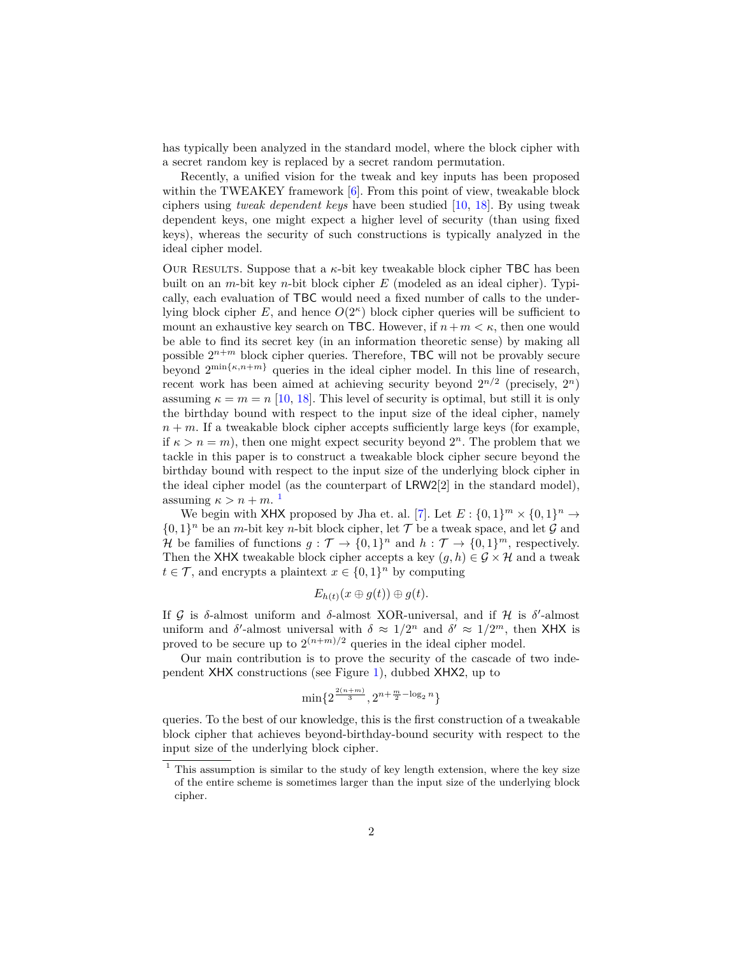has typically been analyzed in the standard model, where the block cipher with a secret random key is replaced by a secret random permutation.

Recently, a unified vision for the tweak and key inputs has been proposed within the TWEAKEY framework [\[6\]](#page-29-8). From this point of view, tweakable block ciphers using *tweak dependent keys* have been studied [\[10,](#page-29-9) [18\]](#page-29-10). By using tweak dependent keys, one might expect a higher level of security (than using fixed keys), whereas the security of such constructions is typically analyzed in the ideal cipher model.

OUR RESULTS. Suppose that a  $\kappa$ -bit key tweakable block cipher TBC has been built on an *m*-bit key *n*-bit block cipher *E* (modeled as an ideal cipher). Typically, each evaluation of TBC would need a fixed number of calls to the underlying block cipher  $E$ , and hence  $O(2<sup>\kappa</sup>)$  block cipher queries will be sufficient to mount an exhaustive key search on TBC. However, if  $n+m < \kappa$ , then one would be able to find its secret key (in an information theoretic sense) by making all possible  $2^{n+m}$  block cipher queries. Therefore, TBC will not be provably secure beyond  $2^{\min\{\kappa, n+m\}}$  queries in the ideal cipher model. In this line of research, recent work has been aimed at achieving security beyond  $2^{n/2}$  (precisely,  $2^n$ ) assuming  $\kappa = m = n$  [\[10,](#page-29-9) [18\]](#page-29-10). This level of security is optimal, but still it is only the birthday bound with respect to the input size of the ideal cipher, namely  $n + m$ . If a tweakable block cipher accepts sufficiently large keys (for example, if  $\kappa > n = m$ , then one might expect security beyond  $2^n$ . The problem that we tackle in this paper is to construct a tweakable block cipher secure beyond the birthday bound with respect to the input size of the underlying block cipher in the ideal cipher model (as the counterpart of LRW2[2] in the standard model), assuming  $\kappa > n + m$ .<sup>[1](#page-1-0)</sup>

We begin with XHX proposed by Jha et. al. [\[7\]](#page-29-11). Let  $E: \{0,1\}^m \times \{0,1\}^n \rightarrow$  $\{0,1\}^n$  be an *m*-bit key *n*-bit block cipher, let  $\mathcal T$  be a tweak space, and let  $\mathcal G$  and *H* be families of functions  $g: \mathcal{T} \to \{0,1\}^n$  and  $h: \mathcal{T} \to \{0,1\}^m$ , respectively. Then the XHX tweakable block cipher accepts a key  $(g, h) \in \mathcal{G} \times \mathcal{H}$  and a tweak  $t \in \mathcal{T}$ , and encrypts a plaintext  $x \in \{0, 1\}^n$  by computing

$$
E_{h(t)}(x \oplus g(t)) \oplus g(t).
$$

If  $G$  is  $\delta$ -almost uniform and  $\delta$ -almost XOR-universal, and if  $H$  is  $\delta'$ -almost uniform and *δ*'-almost universal with  $\delta \approx 1/2^n$  and  $\delta' \approx 1/2^m$ , then XHX is proved to be secure up to  $2^{(n+m)/2}$  queries in the ideal cipher model.

Our main contribution is to prove the security of the cascade of two independent XHX constructions (see Figure [1\)](#page-3-0), dubbed XHX2, up to

$$
\min\{2^{\frac{2(n+m)}{3}}, 2^{n+\frac{m}{2}-\log_2n}\}
$$

queries. To the best of our knowledge, this is the first construction of a tweakable block cipher that achieves beyond-birthday-bound security with respect to the input size of the underlying block cipher.

<span id="page-1-0"></span><sup>&</sup>lt;sup>1</sup> This assumption is similar to the study of key length extension, where the key size of the entire scheme is sometimes larger than the input size of the underlying block cipher.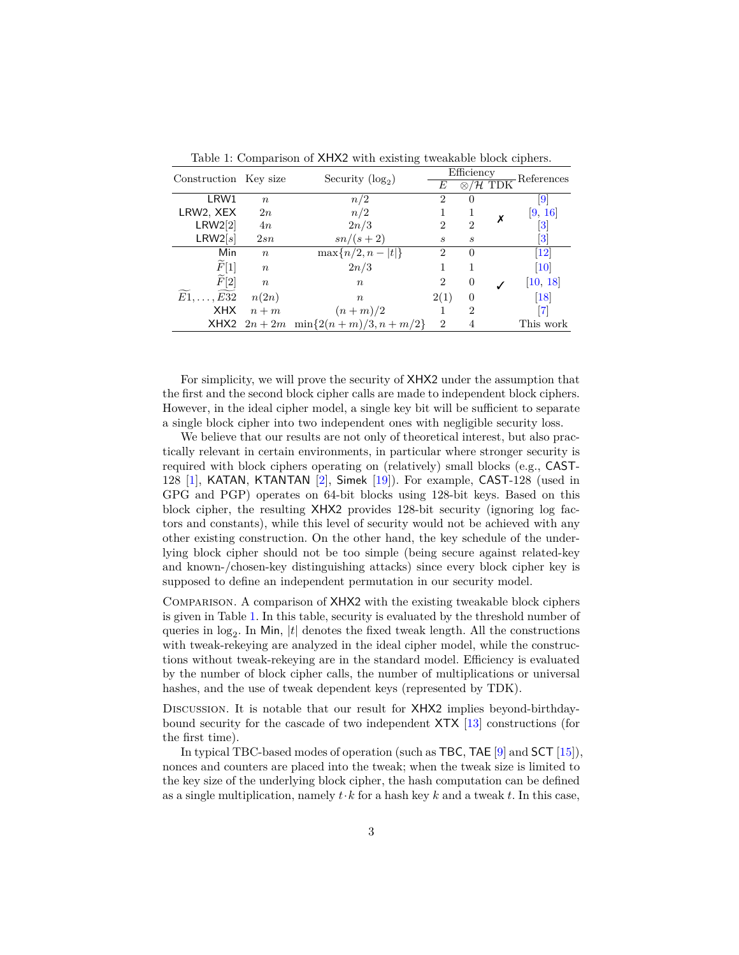| Construction Key size          |                  | Security $(\log_2)$                      | Efficiency                  |                |  |                                                            |
|--------------------------------|------------------|------------------------------------------|-----------------------------|----------------|--|------------------------------------------------------------|
|                                |                  |                                          | Е                           |                |  | $\underbrace{\otimes/\mathcal{H}}_{\text{TDK}}$ References |
| LRW1                           | $n_{\rm c}$      | n/2                                      | $\overline{2}$              | $\Omega$       |  | 9                                                          |
| LRW2, XEX                      | 2n               | n/2                                      |                             |                |  | [9, 16]                                                    |
| LRW2[2]                        | 4n               | 2n/3                                     | $\mathcal{D}_{\mathcal{L}}$ | $\overline{2}$ |  | $\lvert 3 \rvert$                                          |
| LRW2[s]                        | 2sn              | $sn/(s+2)$                               | S                           | S              |  | $\lvert 3 \rvert$                                          |
| Min                            | $\boldsymbol{n}$ | $\max\{n/2, n- t \}$                     | $\overline{2}$              | $\Omega$       |  | $\left\lceil 12\right\rceil$                               |
| F[1]                           | $\boldsymbol{n}$ | 2n/3                                     |                             |                |  | 10                                                         |
| $\widetilde{F}[2]$             | $\boldsymbol{n}$ | $\boldsymbol{n}$                         | $\overline{2}$              | $\theta$       |  | [10, 18]                                                   |
| $E1, \ldots$<br>$\ldots$ $E32$ | n(2n)            | $\boldsymbol{n}$                         | 2(1)                        | 0              |  | 18                                                         |
| <b>XHX</b>                     | $n+m$            | $(n+m)/2$                                |                             | $\overline{2}$ |  | $\vert 7 \vert$                                            |
|                                |                  | XHX2 $2n + 2m$ min $\{2(n+m)/3, n+m/2\}$ | $\overline{2}$              | 4              |  | This work                                                  |

<span id="page-2-0"></span>Table 1: Comparison of XHX2 with existing tweakable block ciphers.

For simplicity, we will prove the security of XHX2 under the assumption that the first and the second block cipher calls are made to independent block ciphers. However, in the ideal cipher model, a single key bit will be sufficient to separate a single block cipher into two independent ones with negligible security loss.

We believe that our results are not only of theoretical interest, but also practically relevant in certain environments, in particular where stronger security is required with block ciphers operating on (relatively) small blocks (e.g., CAST-128 [\[1\]](#page-28-0), KATAN, KTANTAN [\[2\]](#page-28-1), Simek [\[19\]](#page-29-14)). For example, CAST-128 (used in GPG and PGP) operates on 64-bit blocks using 128-bit keys. Based on this block cipher, the resulting XHX2 provides 128-bit security (ignoring log factors and constants), while this level of security would not be achieved with any other existing construction. On the other hand, the key schedule of the underlying block cipher should not be too simple (being secure against related-key and known-/chosen-key distinguishing attacks) since every block cipher key is supposed to define an independent permutation in our security model.

Comparison. A comparison of XHX2 with the existing tweakable block ciphers is given in Table [1.](#page-2-0) In this table, security is evaluated by the threshold number of queries in  $log_2$ . In Min,  $|t|$  denotes the fixed tweak length. All the constructions with tweak-rekeying are analyzed in the ideal cipher model, while the constructions without tweak-rekeying are in the standard model. Efficiency is evaluated by the number of block cipher calls, the number of multiplications or universal hashes, and the use of tweak dependent keys (represented by TDK).

Discussion. It is notable that our result for XHX2 implies beyond-birthdaybound security for the cascade of two independent XTX [\[13\]](#page-29-15) constructions (for the first time).

In typical TBC-based modes of operation (such as TBC, TAE [\[9\]](#page-29-0) and SCT [\[15\]](#page-29-16)), nonces and counters are placed into the tweak; when the tweak size is limited to the key size of the underlying block cipher, the hash computation can be defined as a single multiplication, namely  $t \cdot k$  for a hash key  $k$  and a tweak  $t$ . In this case,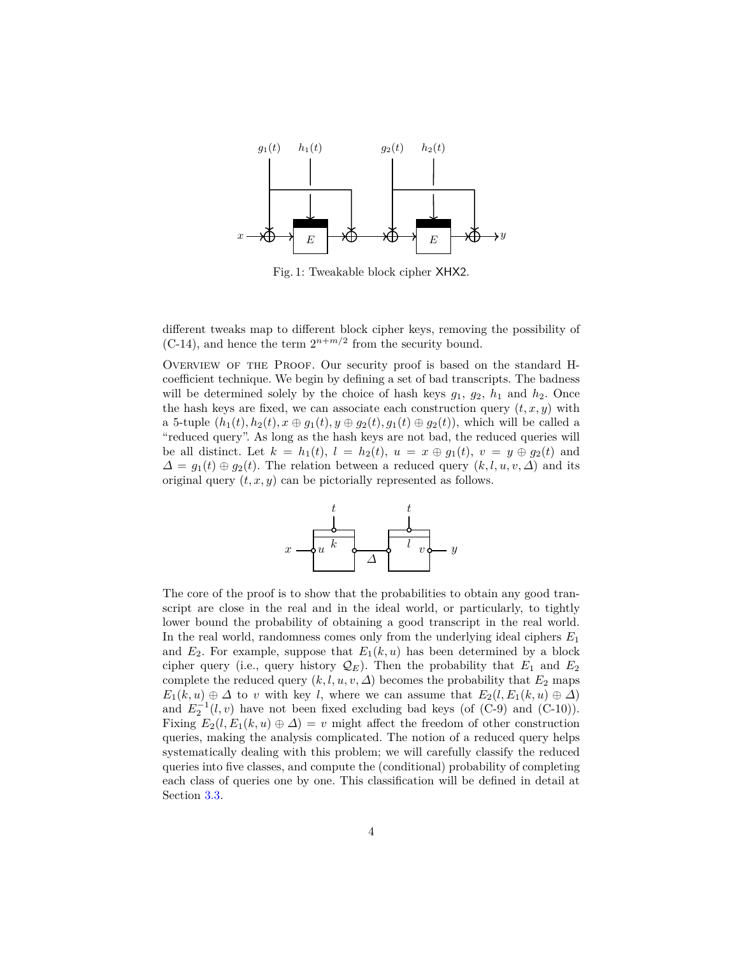<span id="page-3-0"></span>

Fig. 1: Tweakable block cipher XHX2.

different tweaks map to different block cipher keys, removing the possibility of  $(C-14)$ , and hence the term  $2^{n+m/2}$  from the security bound.

OVERVIEW OF THE PROOF. Our security proof is based on the standard Hcoefficient technique. We begin by defining a set of bad transcripts. The badness will be determined solely by the choice of hash keys  $g_1$ ,  $g_2$ ,  $h_1$  and  $h_2$ . Once the hash keys are fixed, we can associate each construction query  $(t, x, y)$  with a 5-tuple  $(h_1(t), h_2(t), x \oplus g_1(t), y \oplus g_2(t), g_1(t) \oplus g_2(t)$ , which will be called a "reduced query". As long as the hash keys are not bad, the reduced queries will be all distinct. Let  $k = h_1(t)$ ,  $l = h_2(t)$ ,  $u = x \oplus g_1(t)$ ,  $v = y \oplus g_2(t)$  and  $\Delta = g_1(t) \oplus g_2(t)$ . The relation between a reduced query  $(k, l, u, v, \Delta)$  and its original query (*t, x, y*) can be pictorially represented as follows.



The core of the proof is to show that the probabilities to obtain any good transcript are close in the real and in the ideal world, or particularly, to tightly lower bound the probability of obtaining a good transcript in the real world. In the real world, randomness comes only from the underlying ideal ciphers *E*<sup>1</sup> and  $E_2$ . For example, suppose that  $E_1(k, u)$  has been determined by a block cipher query (i.e., query history  $\mathcal{Q}_E$ ). Then the probability that  $E_1$  and  $E_2$ complete the reduced query  $(k, l, u, v, \Delta)$  becomes the probability that  $E_2$  maps  $E_1(k, u) \oplus \Delta$  to *v* with key *l*, where we can assume that  $E_2(l, E_1(k, u) \oplus \Delta)$ and  $E_2^{-1}(l, v)$  have not been fixed excluding bad keys (of  $(C-9)$ ) and  $(C-10)$ ). Fixing  $E_2(l, E_1(k, u) \oplus \Delta) = v$  might affect the freedom of other construction queries, making the analysis complicated. The notion of a reduced query helps systematically dealing with this problem; we will carefully classify the reduced queries into five classes, and compute the (conditional) probability of completing each class of queries one by one. This classification will be defined in detail at Section [3.3.](#page-13-0)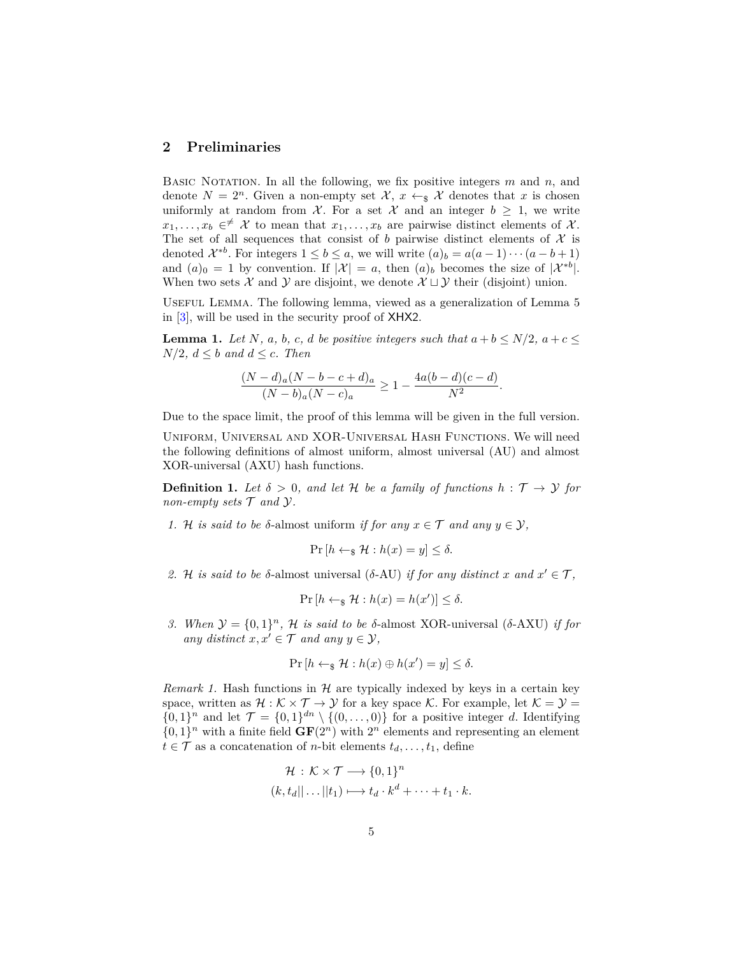## **2 Preliminaries**

Basic Notation. In all the following, we fix positive integers *m* and *n*, and denote  $N = 2^n$ . Given a non-empty set  $\mathcal{X}, x \leftarrow_{\mathbb{S}} \mathcal{X}$  denotes that x is chosen uniformly at random from  $\mathcal{X}$ . For a set  $\mathcal{X}$  and an integer  $b \geq 1$ , we write  $x_1, \ldots, x_b \in \neq X$  to mean that  $x_1, \ldots, x_b$  are pairwise distinct elements of X. The set of all sequences that consist of *b* pairwise distinct elements of  $\mathcal{X}$  is denoted  $\mathcal{X}^{*b}$ . For integers  $1 \leq b \leq a$ , we will write  $(a)_b = a(a-1)\cdots(a-b+1)$ and  $(a)_0 = 1$  by convention. If  $|\mathcal{X}| = a$ , then  $(a)_b$  becomes the size of  $|\mathcal{X}^{*b}|$ . When two sets X and Y are disjoint, we denote  $X \sqcup Y$  their (disjoint) union.

Useful Lemma. The following lemma, viewed as a generalization of Lemma 5 in [\[3\]](#page-29-4), will be used in the security proof of XHX2.

**Lemma 1.** *Let N, a, b, c, d be positive integers such that*  $a + b \le N/2$ ,  $a + c \le$  $N/2$ *,*  $d \leq b$  *and*  $d \leq c$ *. Then* 

<span id="page-4-0"></span>
$$
\frac{(N-d)_{a}(N-b-c+d)_{a}}{(N-b)_{a}(N-c)_{a}} \ge 1 - \frac{4a(b-d)(c-d)}{N^{2}}.
$$

Due to the space limit, the proof of this lemma will be given in the full version.

Uniform, Universal and XOR-Universal Hash Functions. We will need the following definitions of almost uniform, almost universal (AU) and almost XOR-universal (AXU) hash functions.

**Definition 1.** Let  $\delta > 0$ , and let H be a family of functions  $h : \mathcal{T} \to \mathcal{Y}$  for *non-empty sets*  $\mathcal T$  *and*  $\mathcal Y$ *.* 

1. H *is said to be*  $\delta$ -almost uniform *if for any*  $x \in \mathcal{T}$  *and any*  $y \in \mathcal{Y}$ ,

$$
\Pr\left[h \leftarrow_{\$} \mathcal{H}: h(x) = y\right] \leq \delta.
$$

2. H *is said to be*  $\delta$ -almost universal ( $\delta$ -AU) *if for any distinct x* and  $x' \in \mathcal{T}$ ,

$$
\Pr[h \leftarrow_{\$} \mathcal{H} : h(x) = h(x')] \leq \delta.
$$

*3. When*  $\mathcal{Y} = \{0, 1\}^n$ , *H is said to be δ*-almost XOR-universal (*δ*-AXU) *if for any* distinct  $x, x' \in \mathcal{T}$  and any  $y \in \mathcal{Y}$ ,

$$
\Pr\left[h \leftarrow_{\$} \mathcal{H}: h(x) \oplus h(x') = y\right] \leq \delta.
$$

*Remark 1.* Hash functions in  $H$  are typically indexed by keys in a certain key space, written as  $\mathcal{H}: \mathcal{K} \times \mathcal{T} \to \mathcal{Y}$  for a key space  $\mathcal{K}$ . For example, let  $\mathcal{K} = \mathcal{Y} =$  $\{0,1\}^n$  and let  $\mathcal{T} = \{0,1\}^{dn} \setminus \{(0,\ldots,0)\}$  for a positive integer *d*. Identifying  $\{0,1\}^n$  with a finite field  $GF(2^n)$  with  $2^n$  elements and representing an element  $t \in \mathcal{T}$  as a concatenation of *n*-bit elements  $t_d, \ldots, t_1$ , define

$$
\mathcal{H}: \mathcal{K} \times \mathcal{T} \longrightarrow \{0,1\}^n
$$
  

$$
(k, t_d|| \dots || t_1) \longmapsto t_d \cdot k^d + \dots + t_1 \cdot k.
$$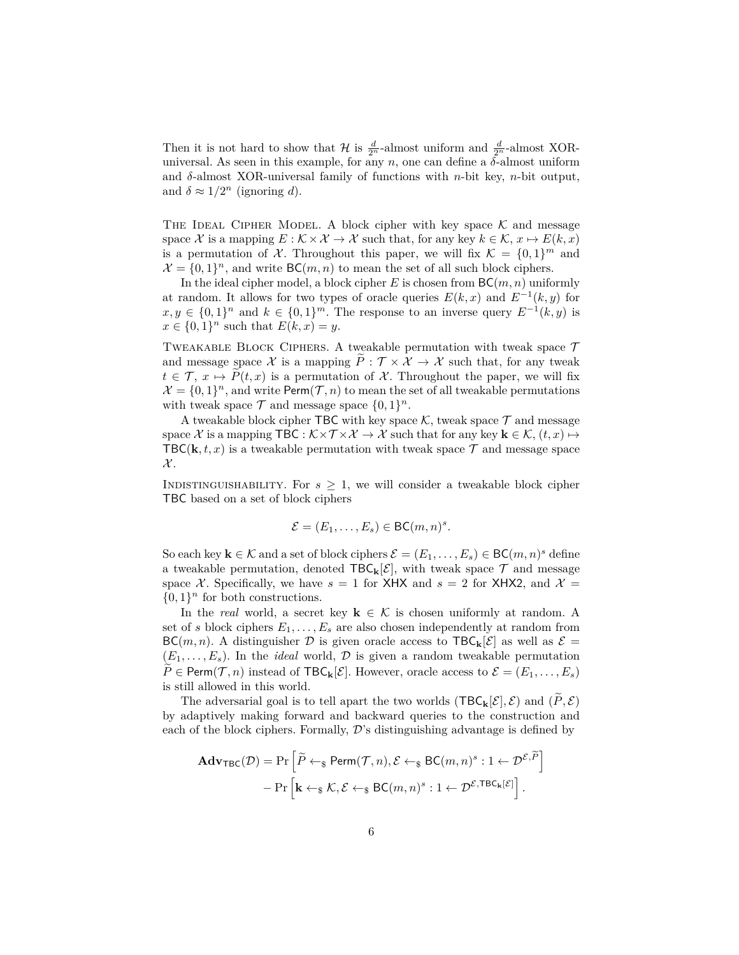Then it is not hard to show that  $\mathcal{H}$  is  $\frac{d}{2^n}$ -almost uniform and  $\frac{d}{2^n}$ -almost XORuniversal. As seen in this example, for any  $n$ , one can define a  $\delta$ -almost uniform and *δ*-almost XOR-universal family of functions with *n*-bit key, *n*-bit output, and  $\delta \approx 1/2^n$  (ignoring *d*).

THE IDEAL CIPHER MODEL. A block cipher with key space  $K$  and message space X is a mapping  $E : \mathcal{K} \times \mathcal{X} \to \mathcal{X}$  such that, for any key  $k \in \mathcal{K}, x \mapsto E(k, x)$ is a permutation of X. Throughout this paper, we will fix  $\mathcal{K} = \{0, 1\}^m$  and  $\mathcal{X} = \{0,1\}^n$ , and write BC(*m*, *n*) to mean the set of all such block ciphers.

In the ideal cipher model, a block cipher *E* is chosen from BC(*m, n*) uniformly at random. It allows for two types of oracle queries  $E(k, x)$  and  $E^{-1}(k, y)$  for  $x, y \in \{0, 1\}^n$  and  $k \in \{0, 1\}^m$ . The response to an inverse query  $E^{-1}(k, y)$  is  $x \in \{0, 1\}^n$  such that  $E(k, x) = y$ .

TWEAKABLE BLOCK CIPHERS. A tweakable permutation with tweak space  $\mathcal T$ and message space X is a mapping  $\tilde{P}: \mathcal{T} \times \mathcal{X} \to \mathcal{X}$  such that, for any tweak  $t \in \mathcal{T}$ ,  $x \mapsto P(t, x)$  is a permutation of X. Throughout the paper, we will fix  $\mathcal{X} = \{0,1\}^n$ , and write Perm $(\mathcal{T}, n)$  to mean the set of all tweakable permutations with tweak space  $\mathcal T$  and message space  $\{0,1\}^n$ .

A tweakable block cipher TBC with key space  $\mathcal{K}$ , tweak space  $\mathcal{T}$  and message space X is a mapping TBC :  $\mathcal{K} \times \mathcal{T} \times \mathcal{X} \to \mathcal{X}$  such that for any key  $\mathbf{k} \in \mathcal{K}$ ,  $(t, x) \mapsto$ TBC( $\mathbf{k}, t, x$ ) is a tweakable permutation with tweak space  $\mathcal{T}$  and message space  $\mathcal{X}.$ 

INDISTINGUISHABILITY. For  $s \geq 1$ , we will consider a tweakable block cipher TBC based on a set of block ciphers

$$
\mathcal{E} = (E_1, \ldots, E_s) \in \mathsf{BC}(m, n)^s.
$$

So each key  $\mathbf{k} \in \mathcal{K}$  and a set of block ciphers  $\mathcal{E} = (E_1, \ldots, E_s) \in BC(m, n)^s$  define a tweakable permutation, denoted  $\text{TBC}_k[\mathcal{E}]$ , with tweak space  $\mathcal T$  and message space X. Specifically, we have  $s = 1$  for XHX and  $s = 2$  for XHX2, and  $\mathcal{X} =$  $\{0,1\}$ <sup>n</sup> for both constructions.

In the *real* world, a secret key  $\mathbf{k} \in \mathcal{K}$  is chosen uniformly at random. A set of *s* block ciphers  $E_1, \ldots, E_s$  are also chosen independently at random from  $BC(m, n)$ . A distinguisher D is given oracle access to  $\text{TBC}_{\mathbf{k}}[\mathcal{E}]$  as well as  $\mathcal{E} =$  $(E_1, \ldots, E_s)$ . In the *ideal* world,  $\mathcal{D}$  is given a random tweakable permutation  $P \in \text{Perm}(\mathcal{T}, n)$  instead of  $\text{TBC}_k[\mathcal{E}]$ . However, oracle access to  $\mathcal{E} = (E_1, \ldots, E_s)$ is still allowed in this world.

The adversarial goal is to tell apart the two worlds  $(TEC_k[\mathcal{E}], \mathcal{E})$  and  $(P, \mathcal{E})$ by adaptively making forward and backward queries to the construction and each of the block ciphers. Formally,  $\mathcal{D}'$ 's distinguishing advantage is defined by

$$
\mathbf{Adv}_{\mathsf{TBC}}(\mathcal{D}) = \Pr\left[\widetilde{P} \leftarrow_{\$} \mathsf{Perm}(\mathcal{T}, n), \mathcal{E} \leftarrow_{\$} \mathsf{BC}(m, n)^{s} : 1 \leftarrow \mathcal{D}^{\mathcal{E}, \widetilde{P}}\right] \\
- \Pr\left[\mathbf{k} \leftarrow_{\$} \mathcal{K}, \mathcal{E} \leftarrow_{\$} \mathsf{BC}(m, n)^{s} : 1 \leftarrow \mathcal{D}^{\mathcal{E}, \mathsf{TBC}_{\mathbf{k}}[\mathcal{E}]}\right].
$$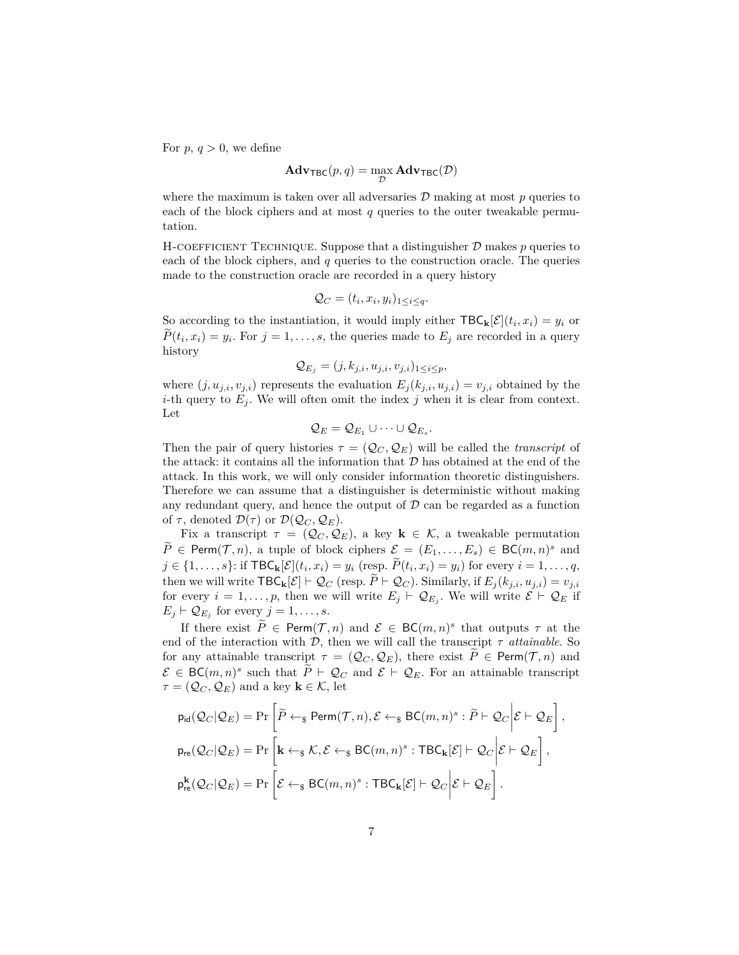For  $p, q > 0$ , we define

$$
\mathbf{Adv}_{\mathsf{TBC}}(p,q) = \max_{\mathcal{D}} \mathbf{Adv}_{\mathsf{TBC}}(\mathcal{D})
$$

where the maximum is taken over all adversaries  $\mathcal D$  making at most  $p$  queries to each of the block ciphers and at most  $q$  queries to the outer tweakable permutation.

H-COEFFICIENT TECHNIQUE. Suppose that a distinguisher  $D$  makes  $p$  queries to each of the block ciphers, and *q* queries to the construction oracle. The queries made to the construction oracle are recorded in a query history

$$
Q_C = (t_i, x_i, y_i)_{1 \leq i \leq q}.
$$

So according to the instantiation, it would imply either  $\text{TBC}_{\mathbf{k}}[\mathcal{E}](t_i, x_i) = y_i$  or  $P(t_i, x_i) = y_i$ . For  $j = 1, \ldots, s$ , the queries made to  $E_j$  are recorded in a query history

$$
\mathcal{Q}_{E_j} = (j, k_{j,i}, u_{j,i}, v_{j,i})_{1 \leq i \leq p},
$$

where  $(j, u_{j,i}, v_{j,i})$  represents the evaluation  $E_j(k_{j,i}, u_{j,i}) = v_{j,i}$  obtained by the *i*-th query to  $E_i$ . We will often omit the index *j* when it is clear from context. Let

$$
\mathcal{Q}_E=\mathcal{Q}_{E_1}\cup\cdots\cup\mathcal{Q}_{E_s}.
$$

Then the pair of query histories  $\tau = (Q_C, Q_E)$  will be called the *transcript* of the attack: it contains all the information that  $\mathcal D$  has obtained at the end of the attack. In this work, we will only consider information theoretic distinguishers. Therefore we can assume that a distinguisher is deterministic without making any redundant query, and hence the output of  $\mathcal D$  can be regarded as a function of  $\tau$ , denoted  $\mathcal{D}(\tau)$  or  $\mathcal{D}(\mathcal{Q}_C, \mathcal{Q}_E)$ .

Fix a transcript  $\tau = (Q_C, Q_E)$ , a key  $\mathbf{k} \in \mathcal{K}$ , a tweakable permutation  $\widetilde{P} \in \text{Perm}(\mathcal{T}, n)$ , a tuple of block ciphers  $\mathcal{E} = (E_1, \ldots, E_s) \in \text{BC}(m, n)^s$  and  $j \in \{1, ..., s\}$ : if  $\text{TBC}_{k}[\mathcal{E}](t_i, x_i) = y_i \text{ (resp. } P(t_i, x_i) = y_i \text{) for every } i = 1, ..., q,$ then we will write  $\textsf{TBC}_k[\mathcal{E}] \vdash \mathcal{Q}_C$  (resp.  $P \vdash \mathcal{Q}_C$ ). Similarly, if  $E_j(k_{j,i}, u_{j,i}) = v_{j,i}$ for every  $i = 1, \ldots, p$ , then we will write  $E_j \vdash \mathcal{Q}_{E_j}$ . We will write  $\mathcal{E} \vdash \mathcal{Q}_E$  if  $E_j \vdash \mathcal{Q}_{E_j}$  for every  $j = 1, \ldots, s$ .

If there exist  $\widetilde{P} \in \text{Perm}(\mathcal{T}, n)$  and  $\mathcal{E} \in BC(m, n)^s$  that outputs  $\tau$  at the end of the interaction with  $\mathcal{D}$ , then we will call the transcript  $\tau$  *attainable*. So for any attainable transcript  $\tau = (Q_C, Q_E)$ , there exist  $\tilde{P} \in \text{Perm}(\mathcal{T}, n)$  and  $\mathcal{E} \in BC(m,n)^s$  such that  $\tilde{P} \vdash \mathcal{Q}_C$  and  $\mathcal{E} \vdash \mathcal{Q}_E$ . For an attainable transcript  $\tau = (\mathcal{Q}_C, \mathcal{Q}_E)$  and a key  $\mathbf{k} \in \mathcal{K}$ , let

$$
p_{\text{id}}(\mathcal{Q}_{C}|\mathcal{Q}_{E}) = \Pr\left[\widetilde{P} \leftarrow_{\$} \text{Perm}(\mathcal{T}, n), \mathcal{E} \leftarrow_{\$} \text{BC}(m, n)^{s} : \widetilde{P} \vdash \mathcal{Q}_{C} \bigg| \mathcal{E} \vdash \mathcal{Q}_{E}\right],
$$
  
\n
$$
p_{\text{re}}(\mathcal{Q}_{C}|\mathcal{Q}_{E}) = \Pr\left[\mathbf{k} \leftarrow_{\$} \mathcal{K}, \mathcal{E} \leftarrow_{\$} \text{BC}(m, n)^{s} : \text{TBC}_{\mathbf{k}}[\mathcal{E}] \vdash \mathcal{Q}_{C} \bigg| \mathcal{E} \vdash \mathcal{Q}_{E}\right],
$$
  
\n
$$
p_{\text{re}}^{\mathbf{k}}(\mathcal{Q}_{C}|\mathcal{Q}_{E}) = \Pr\left[\mathcal{E} \leftarrow_{\$} \text{BC}(m, n)^{s} : \text{TBC}_{\mathbf{k}}[\mathcal{E}] \vdash \mathcal{Q}_{C} \bigg| \mathcal{E} \vdash \mathcal{Q}_{E}\right].
$$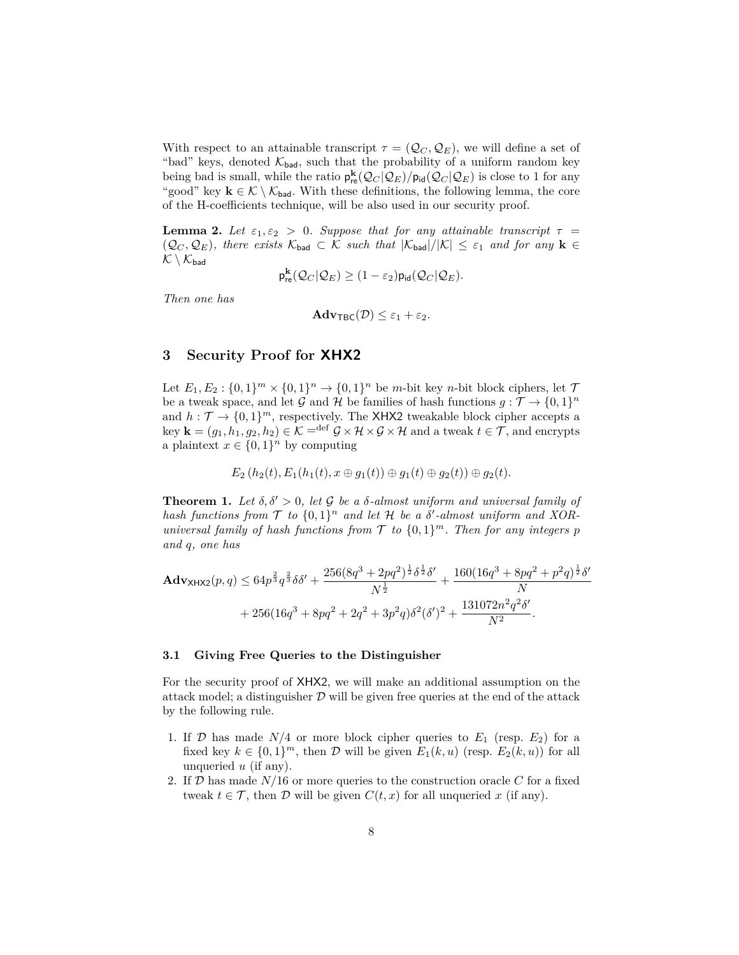With respect to an attainable transcript  $\tau = (Q_C, Q_E)$ , we will define a set of "bad" keys, denoted  $\mathcal{K}_{bad}$ , such that the probability of a uniform random key being bad is small, while the ratio  $p_{re}^{k}(Q_C | Q_E) / p_{id}(Q_C | Q_E)$  is close to 1 for any "good" key  $k \in \mathcal{K} \setminus \mathcal{K}_{bad}$ . With these definitions, the following lemma, the core of the H-coefficients technique, will be also used in our security proof.

**Lemma 2.** Let  $\varepsilon_1, \varepsilon_2 > 0$ . Suppose that for any attainable transcript  $\tau =$  $(Q_C, Q_E)$ , there exists  $\mathcal{K}_{bad} \subset \mathcal{K}$  such that  $|\mathcal{K}_{bad}|/|\mathcal{K}| \leq \varepsilon_1$  and for any  $\mathbf{k} \in \mathcal{K}$  $\mathcal{K} \setminus \mathcal{K}_{bad}$ 

$$
\mathsf{p}^{\mathbf{k}}_{\mathsf{re}}(\mathcal{Q}_C|\mathcal{Q}_E) \geq (1-\varepsilon_2) \mathsf{p}_{\mathsf{id}}(\mathcal{Q}_C|\mathcal{Q}_E).
$$

*Then one has*

<span id="page-7-1"></span>
$$
\mathbf{Adv}_{\mathsf{TBC}}(\mathcal{D}) \leq \varepsilon_1 + \varepsilon_2.
$$

## **3 Security Proof for XHX2**

Let  $E_1, E_2 : \{0, 1\}^m \times \{0, 1\}^n \to \{0, 1\}^n$  be *m*-bit key *n*-bit block ciphers, let  $\mathcal{T}$ be a tweak space, and let G and H be families of hash functions  $g: \mathcal{T} \to \{0,1\}^n$ and  $h: \mathcal{T} \to \{0,1\}^m$ , respectively. The XHX2 tweakable block cipher accepts a key  $\mathbf{k} = (g_1, h_1, g_2, h_2) \in \mathcal{K}$  = <sup>def</sup>  $\mathcal{G} \times \mathcal{H} \times \mathcal{G} \times \mathcal{H}$  and a tweak  $t \in \mathcal{T}$ , and encrypts a plaintext  $x \in \{0,1\}^n$  by computing

$$
E_2(h_2(t), E_1(h_1(t), x \oplus g_1(t)) \oplus g_1(t) \oplus g_2(t)) \oplus g_2(t).
$$

<span id="page-7-0"></span>**Theorem 1.** Let  $\delta, \delta' > 0$ , let G be a  $\delta$ -almost uniform and universal family of hash functions from  $\mathcal T$  to  $\{0,1\}^n$  and let  $\mathcal H$  be a  $\delta'$ -almost uniform and XOR*universal family of hash functions from*  $\mathcal T$  *to*  $\{0,1\}^m$ *. Then for any integers*  $p$ *and q, one has*

$$
\mathbf{Adv}_{\mathsf{XHX2}}(p,q) \leq 64p^{\frac{2}{3}}q^{\frac{2}{3}}\delta\delta' + \frac{256(8q^3 + 2pq^2)^{\frac{1}{2}}\delta^{\frac{1}{2}}\delta'}{N^{\frac{1}{2}}} + \frac{160(16q^3 + 8pq^2 + p^2q)^{\frac{1}{2}}\delta'}{N} + 256(16q^3 + 8pq^2 + 2q^2 + 3p^2q)\delta^2(\delta')^2 + \frac{131072n^2q^2\delta'}{N^2}.
$$

#### **3.1 Giving Free Queries to the Distinguisher**

For the security proof of XHX2, we will make an additional assumption on the attack model; a distinguisher  $D$  will be given free queries at the end of the attack by the following rule.

- 1. If  $\mathcal{D}$  has made  $N/4$  or more block cipher queries to  $E_1$  (resp.  $E_2$ ) for a fixed key  $k \in \{0,1\}^m$ , then  $\mathcal D$  will be given  $E_1(k, u)$  (resp.  $E_2(k, u)$ ) for all unqueried *u* (if any).
- 2. If D has made *N/*16 or more queries to the construction oracle *C* for a fixed tweak  $t \in \mathcal{T}$ , then  $\mathcal{D}$  will be given  $C(t, x)$  for all unqueried x (if any).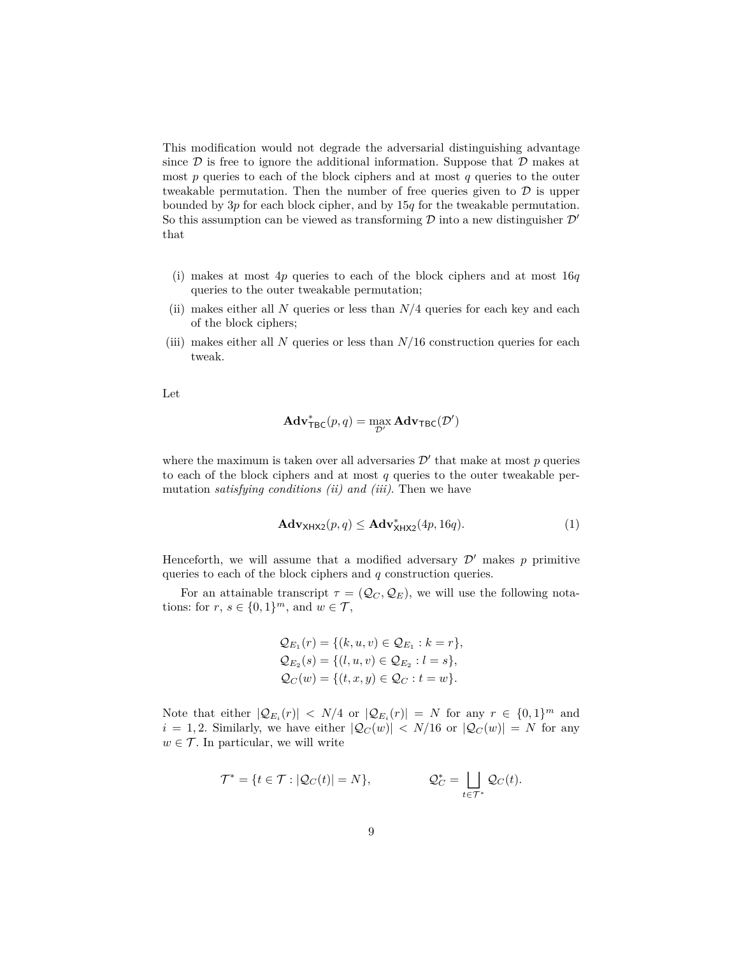This modification would not degrade the adversarial distinguishing advantage since  $\mathcal D$  is free to ignore the additional information. Suppose that  $\mathcal D$  makes at most *p* queries to each of the block ciphers and at most *q* queries to the outer tweakable permutation. Then the number of free queries given to  $D$  is upper bounded by 3*p* for each block cipher, and by 15*q* for the tweakable permutation. So this assumption can be viewed as transforming  $\mathcal D$  into a new distinguisher  $\mathcal D'$ that

- (i) makes at most 4*p* queries to each of the block ciphers and at most 16*q* queries to the outer tweakable permutation;
- (ii) makes either all *N* queries or less than *N/*4 queries for each key and each of the block ciphers;
- (iii) makes either all *N* queries or less than *N/*16 construction queries for each tweak.

Let

$$
\mathbf{Adv}_{\mathsf{TBC}}^{*}(p,q) = \max_{\mathcal{D}'} \mathbf{Adv}_{\mathsf{TBC}}(\mathcal{D}')
$$

where the maximum is taken over all adversaries  $\mathcal{D}'$  that make at most  $p$  queries to each of the block ciphers and at most *q* queries to the outer tweakable permutation *satisfying conditions (ii) and (iii)*. Then we have

<span id="page-8-0"></span>
$$
\mathbf{Adv}_{\mathsf{XHX2}}(p,q) \leq \mathbf{Adv}_{\mathsf{XHX2}}^*(4p, 16q). \tag{1}
$$

Henceforth, we will assume that a modified adversary  $\mathcal{D}'$  makes p primitive queries to each of the block ciphers and *q* construction queries.

For an attainable transcript  $\tau = (Q_C, Q_E)$ , we will use the following notations: for  $r, s \in \{0, 1\}^m$ , and  $w \in \mathcal{T}$ ,

$$
Q_{E_1}(r) = \{(k, u, v) \in Q_{E_1} : k = r\},
$$
  
\n
$$
Q_{E_2}(s) = \{(l, u, v) \in Q_{E_2} : l = s\},
$$
  
\n
$$
Q_C(w) = \{(t, x, y) \in Q_C : t = w\}.
$$

Note that either  $|\mathcal{Q}_{E_i}(r)| < N/4$  or  $|\mathcal{Q}_{E_i}(r)| = N$  for any  $r \in \{0,1\}^m$  and  $i = 1, 2$ . Similarly, we have either  $|Q_C(w)| < N/16$  or  $|Q_C(w)| = N$  for any  $w \in \mathcal{T}$ . In particular, we will write

$$
\mathcal{T}^* = \{t \in \mathcal{T} : |\mathcal{Q}_C(t)| = N\}, \qquad \mathcal{Q}_C^* = \bigsqcup_{t \in \mathcal{T}^*} \mathcal{Q}_C(t).
$$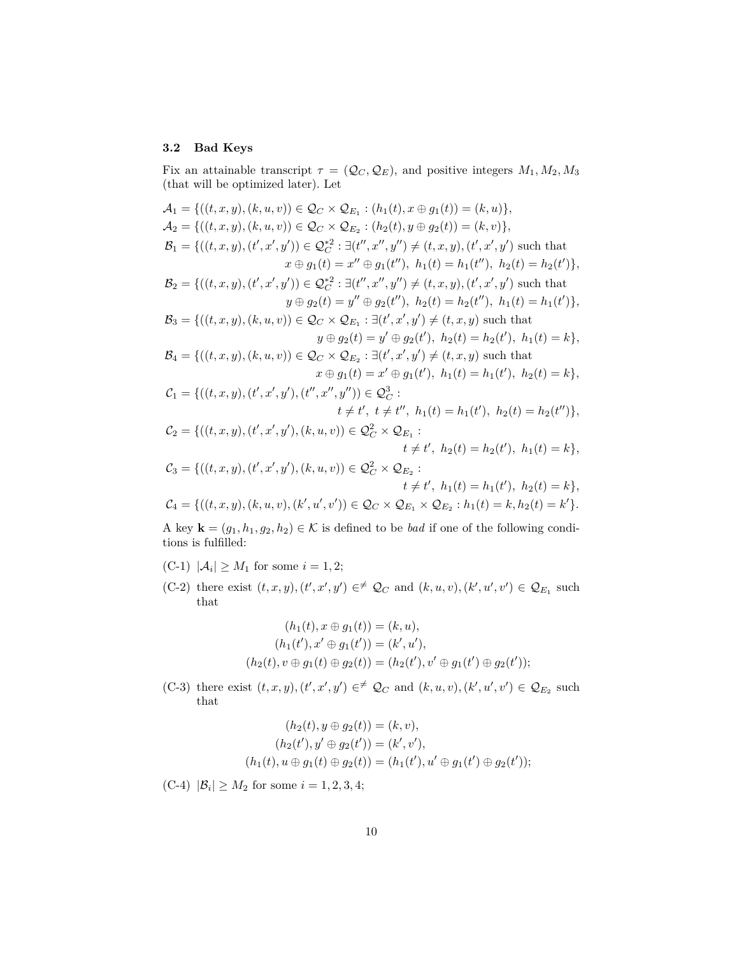#### **3.2 Bad Keys**

Fix an attainable transcript  $\tau = (Q_C, Q_E)$ , and positive integers  $M_1, M_2, M_3$ (that will be optimized later). Let

$$
\mathcal{A}_1 = \{((t, x, y), (k, u, v)) \in \mathcal{Q}_C \times \mathcal{Q}_{E_1} : (h_1(t), x \oplus g_1(t)) = (k, u)\},
$$
\n
$$
\mathcal{A}_2 = \{((t, x, y), (k, u, v)) \in \mathcal{Q}_C \times \mathcal{Q}_{E_2} : (h_2(t), y \oplus g_2(t)) = (k, v)\},
$$
\n
$$
\mathcal{B}_1 = \{((t, x, y), (t', x', y')) \in \mathcal{Q}_C^* \colon \exists (t'', x'', y'') \neq (t, x, y), (t', x', y') \text{ such that } x \oplus g_1(t) = x'' \oplus g_1(t''), h_1(t) = h_1(t''), h_2(t) = h_2(t')\},
$$
\n
$$
\mathcal{B}_2 = \{((t, x, y), (t', x', y')) \in \mathcal{Q}_C^* \colon \exists (t'', x'', y'') \neq (t, x, y), (t', x', y') \text{ such that } y \oplus g_2(t) = y'' \oplus g_2(t''), h_2(t) = h_2(t''), h_1(t) = h_1(t')\},
$$
\n
$$
\mathcal{B}_3 = \{((t, x, y), (k, u, v)) \in \mathcal{Q}_C \times \mathcal{Q}_{E_1} : \exists (t', x', y') \neq (t, x, y) \text{ such that } y \oplus g_2(t) = y' \oplus g_2(t'), h_2(t) = h_2(t'), h_1(t) = k\},
$$
\n
$$
\mathcal{B}_4 = \{((t, x, y), (k, u, v)) \in \mathcal{Q}_C \times \mathcal{Q}_{E_2} : \exists (t', x', y') \neq (t, x, y) \text{ such that } x \oplus g_1(t) = x' \oplus g_1(t'), h_1(t) = h_1(t'), h_2(t) = k\},
$$
\n
$$
\mathcal{C}_1 = \{((t, x, y), (t', x', y'), (t'', x'', y'')) \in \mathcal{Q}_C^3 : t \neq t', h_1(t) = h_1(t'), h_2(t) = h_2(t'')\},
$$
\n
$$
\mathcal{C}_2 = \{((t, x, y), (t', x', y'), (k, u, v)) \
$$

A key  $\mathbf{k} = (g_1, h_1, g_2, h_2) \in \mathcal{K}$  is defined to be *bad* if one of the following conditions is fulfilled:

- $(C-1)$   $|\mathcal{A}_i| \ge M_1$  for some  $i = 1, 2;$
- (C-2) there exist  $(t, x, y)$ ,  $(t', x', y') \in \neq \mathcal{Q}_C$  and  $(k, u, v)$ ,  $(k', u', v') \in \mathcal{Q}_{E_1}$  such that

$$
(h_1(t), x \oplus g_1(t)) = (k, u),
$$
  
\n
$$
(h_1(t'), x' \oplus g_1(t')) = (k', u'),
$$
  
\n
$$
(h_2(t), v \oplus g_1(t) \oplus g_2(t)) = (h_2(t'), v' \oplus g_1(t') \oplus g_2(t')),
$$

(C-3) there exist  $(t, x, y)$ ,  $(t', x', y') \in \neq \mathcal{Q}_C$  and  $(k, u, v)$ ,  $(k', u', v') \in \mathcal{Q}_{E_2}$  such that

$$
(h_2(t), y \oplus g_2(t)) = (k, v),
$$
  
\n
$$
(h_2(t'), y' \oplus g_2(t')) = (k', v'),
$$
  
\n
$$
(h_1(t), u \oplus g_1(t) \oplus g_2(t)) = (h_1(t'), u' \oplus g_1(t') \oplus g_2(t')),
$$

 $(C-4)$   $|\mathcal{B}_i| \geq M_2$  for some  $i = 1, 2, 3, 4;$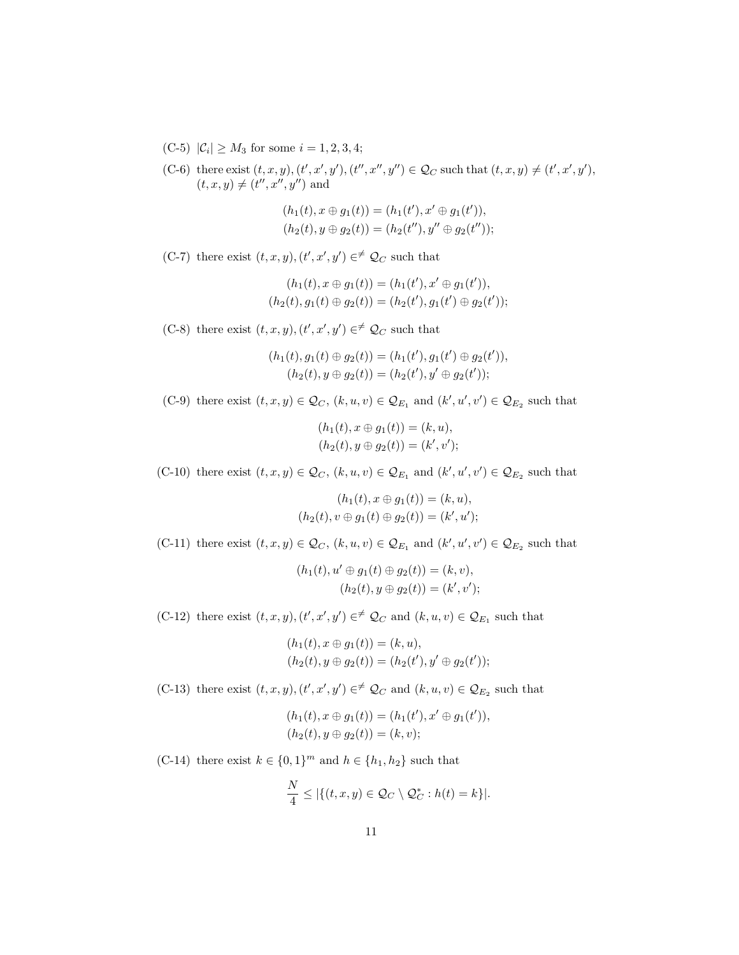- $(C-5)$   $|\mathcal{C}_i| \geq M_3$  for some  $i = 1, 2, 3, 4;$
- (C-6) there exist  $(t, x, y)$ ,  $(t', x', y')$ ,  $(t'', x'', y'') \in \mathcal{Q}_C$  such that  $(t, x, y) \neq (t', x', y')$ ,  $(t, x, y) \neq (t'', x'', y'')$  and

$$
(h_1(t), x \oplus g_1(t)) = (h_1(t'), x' \oplus g_1(t')),(h_2(t), y \oplus g_2(t)) = (h_2(t''), y'' \oplus g_2(t'')),
$$

(C-7) there exist  $(t, x, y)$ ,  $(t', x', y') \in \neq \mathcal{Q}_C$  such that

$$
(h_1(t), x \oplus g_1(t)) = (h_1(t'), x' \oplus g_1(t')),(h_2(t), g_1(t) \oplus g_2(t)) = (h_2(t'), g_1(t') \oplus g_2(t');
$$

(C-8) there exist  $(t, x, y)$ ,  $(t', x', y') \in \neq \mathcal{Q}_C$  such that

$$
(h_1(t), g_1(t) \oplus g_2(t)) = (h_1(t'), g_1(t') \oplus g_2(t')),(h_2(t), y \oplus g_2(t)) = (h_2(t'), y' \oplus g_2(t'));
$$

(C-9) there exist  $(t, x, y) \in \mathcal{Q}_C$ ,  $(k, u, v) \in \mathcal{Q}_{E_1}$  and  $(k', u', v') \in \mathcal{Q}_{E_2}$  such that

$$
(h_1(t), x \oplus g_1(t)) = (k, u),
$$
  

$$
(h_2(t), y \oplus g_2(t)) = (k', v');
$$

(C-10) there exist  $(t, x, y) \in \mathcal{Q}_C$ ,  $(k, u, v) \in \mathcal{Q}_{E_1}$  and  $(k', u', v') \in \mathcal{Q}_{E_2}$  such that

$$
(h_1(t), x \oplus g_1(t)) = (k, u),
$$
  

$$
(h_2(t), v \oplus g_1(t) \oplus g_2(t)) = (k', u');
$$

(C-11) there exist  $(t, x, y) \in \mathcal{Q}_C$ ,  $(k, u, v) \in \mathcal{Q}_{E_1}$  and  $(k', u', v') \in \mathcal{Q}_{E_2}$  such that

$$
(h_1(t), u' \oplus g_1(t) \oplus g_2(t)) = (k, v),
$$
  

$$
(h_2(t), y \oplus g_2(t)) = (k', v');
$$

(C-12) there exist  $(t, x, y)$ ,  $(t', x', y') \in \mathscr{L}_C$  and  $(k, u, v) \in \mathcal{Q}_{E_1}$  such that

$$
(h_1(t), x \oplus g_1(t)) = (k, u),(h_2(t), y \oplus g_2(t)) = (h_2(t'), y' \oplus g_2(t')),
$$

(C-13) there exist  $(t, x, y)$ ,  $(t', x', y') \in \mathscr{L}_C$  and  $(k, u, v) \in \mathcal{Q}_{E_2}$  such that

$$
(h_1(t), x \oplus g_1(t)) = (h_1(t'), x' \oplus g_1(t')),(h_2(t), y \oplus g_2(t)) = (k, v);
$$

(C-14) there exist  $k \in \{0, 1\}^m$  and  $h \in \{h_1, h_2\}$  such that

$$
\frac{N}{4} \leq |\{(t, x, y) \in \mathcal{Q}_C \setminus \mathcal{Q}_C^* : h(t) = k\}|.
$$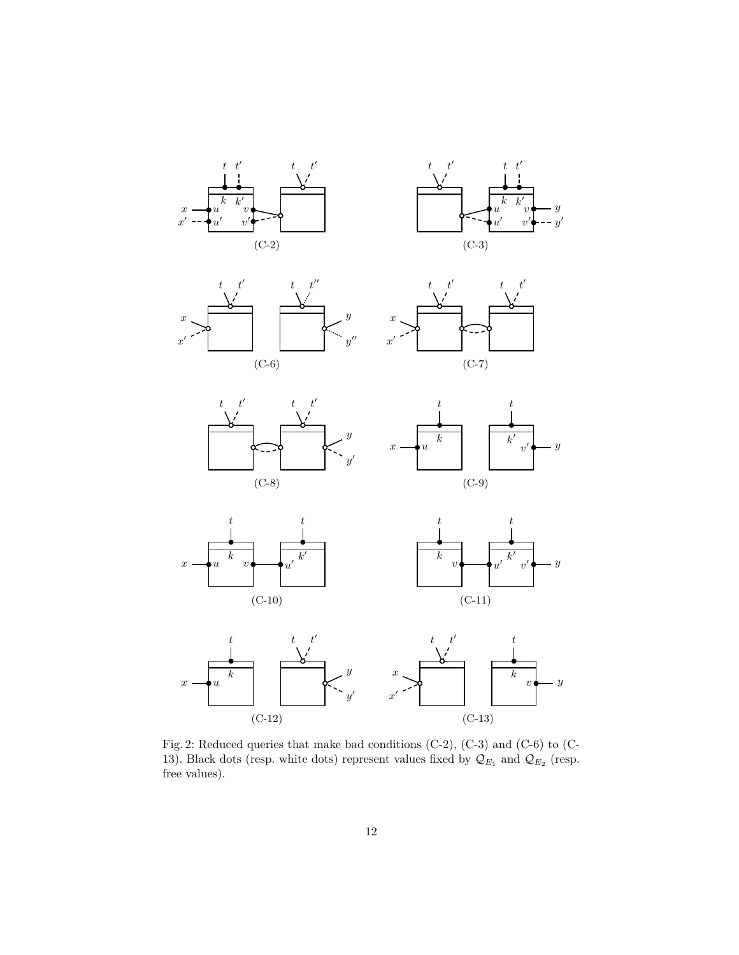<span id="page-11-0"></span>

















Fig. 2: Reduced queries that make bad conditions (C-2), (C-3) and (C-6) to (C-13). Black dots (resp. white dots) represent values fixed by  $\mathcal{Q}_{E_1}$  and  $\mathcal{Q}_{E_2}$  (resp. free values).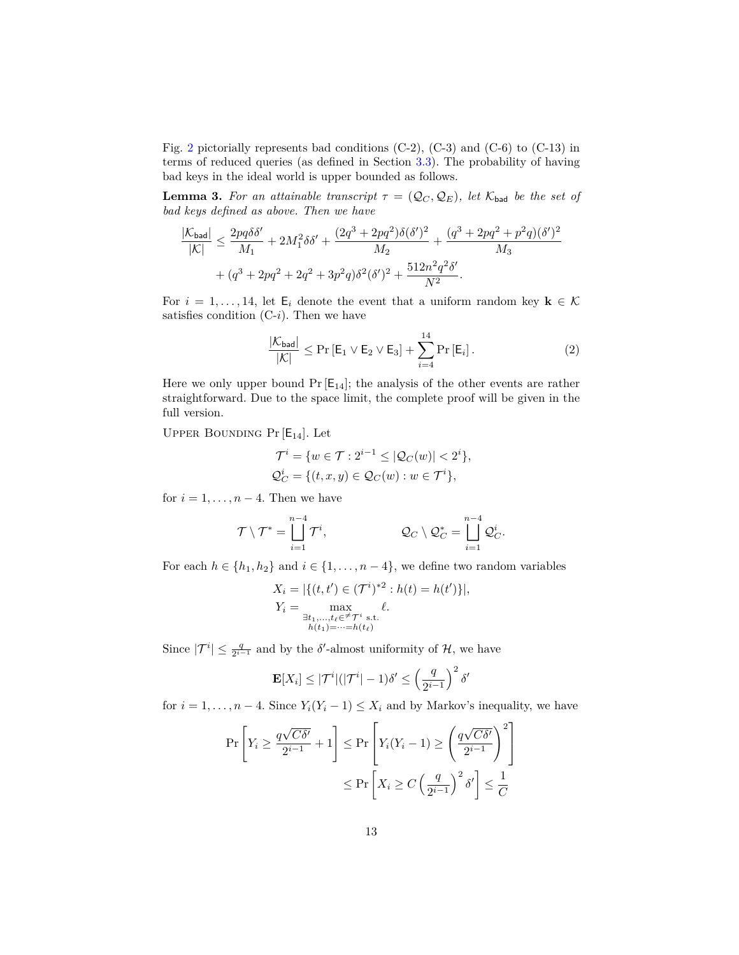Fig. [2](#page-11-0) pictorially represents bad conditions (C-2), (C-3) and (C-6) to (C-13) in terms of reduced queries (as defined in Section [3.3\)](#page-13-0). The probability of having bad keys in the ideal world is upper bounded as follows.

**Lemma 3.** For an attainable transcript  $\tau = (Q_C, Q_E)$ , let  $K_{bad}$  be the set of *bad keys defined as above. Then we have*

$$
\frac{|\mathcal{K}_{\text{bad}}|}{|\mathcal{K}|} \le \frac{2pq\delta\delta'}{M_1} + 2M_1^2\delta\delta' + \frac{(2q^3 + 2pq^2)\delta(\delta')^2}{M_2} + \frac{(q^3 + 2pq^2 + p^2q)(\delta')^2}{M_3} + (q^3 + 2pq^2 + 2q^2 + 3p^2q)\delta^2(\delta')^2 + \frac{512n^2q^2\delta'}{N^2}.
$$

For  $i = 1, \ldots, 14$ , let  $\mathsf{E}_i$  denote the event that a uniform random key  $\mathbf{k} \in \mathcal{K}$ satisfies condition  $(C-i)$ . Then we have

<span id="page-12-0"></span>
$$
\frac{|\mathcal{K}_{\mathsf{bad}}|}{|\mathcal{K}|} \le \Pr\left[\mathsf{E}_1 \vee \mathsf{E}_2 \vee \mathsf{E}_3\right] + \sum_{i=4}^{14} \Pr\left[\mathsf{E}_i\right].\tag{2}
$$

Here we only upper bound  $Pr [E_{14}]$ ; the analysis of the other events are rather straightforward. Due to the space limit, the complete proof will be given in the full version.

UPPER BOUNDING  $Pr[E_{14}]$ . Let

$$
\mathcal{T}^i = \{ w \in \mathcal{T} : 2^{i-1} \leq |\mathcal{Q}_C(w)| < 2^i \},
$$
  
\n
$$
\mathcal{Q}_C^i = \{ (t, x, y) \in \mathcal{Q}_C(w) : w \in \mathcal{T}^i \},
$$

for  $i = 1, \ldots, n-4$ . Then we have

$$
\mathcal{T}\setminus\mathcal{T}^*=\bigsqcup_{i=1}^{n-4}\mathcal{T}^i, \qquad \qquad \mathcal{Q}_C\setminus\mathcal{Q}_C^*=\bigsqcup_{i=1}^{n-4}\mathcal{Q}_C^i.
$$

For each  $h \in \{h_1, h_2\}$  and  $i \in \{1, \ldots, n-4\}$ , we define two random variables

$$
X_i = |\{(t, t') \in (\mathcal{T}^i)^{*2} : h(t) = h(t')\}|,
$$
  
\n
$$
Y_i = \max_{\substack{\exists t_1, \dots, t_\ell \in \mathcal{F} \\ h(t_1) = \dots = h(t_\ell)}} \ell.
$$

Since  $|\mathcal{T}^i| \leq \frac{q}{2^{i-1}}$  and by the  $\delta'$ -almost uniformity of  $\mathcal{H}$ , we have

$$
\mathbf{E}[X_i] \leq |\mathcal{T}^i|(|\mathcal{T}^i| - 1)\delta' \leq \left(\frac{q}{2^{i-1}}\right)^2 \delta'
$$

for  $i = 1, ..., n - 4$ . Since  $Y_i(Y_i - 1) \leq X_i$  and by Markov's inequality, we have

$$
\Pr\left[Y_i \ge \frac{q\sqrt{C\delta'}}{2^{i-1}} + 1\right] \le \Pr\left[Y_i(Y_i - 1) \ge \left(\frac{q\sqrt{C\delta'}}{2^{i-1}}\right)^2\right]
$$

$$
\le \Pr\left[X_i \ge C\left(\frac{q}{2^{i-1}}\right)^2 \delta'\right] \le \frac{1}{C}
$$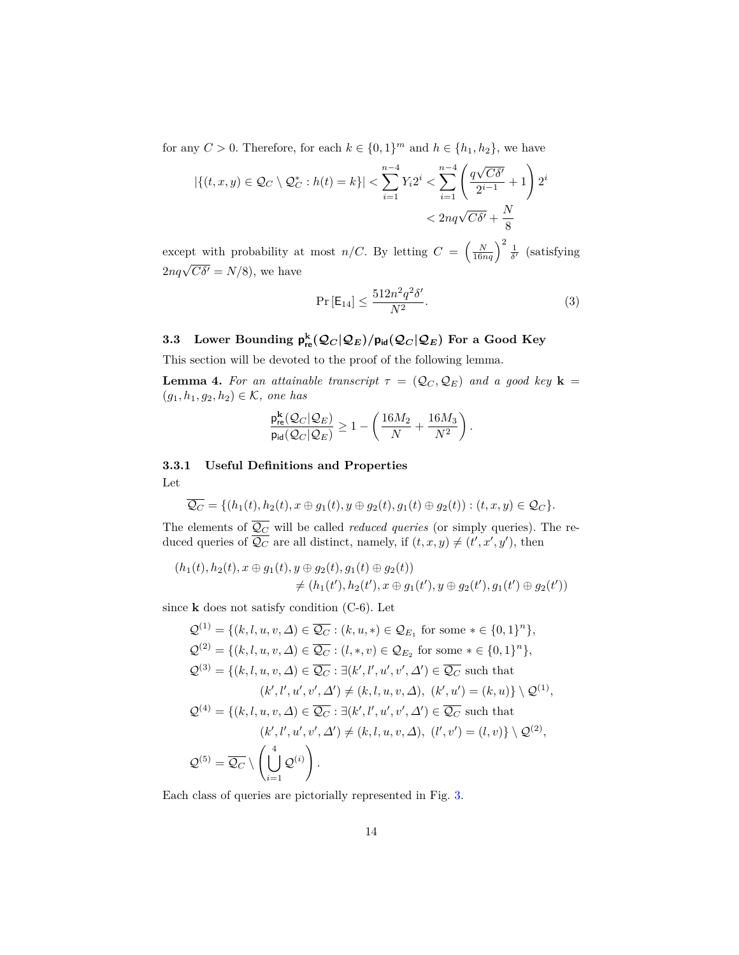for any  $C > 0$ . Therefore, for each  $k \in \{0,1\}^m$  and  $h \in \{h_1, h_2\}$ , we have

$$
|\{(t, x, y) \in \mathcal{Q}_C \setminus \mathcal{Q}_C^* : h(t) = k\}| < \sum_{i=1}^{n-4} Y_i 2^i < \sum_{i=1}^{n-4} \left( \frac{q\sqrt{C\delta'}}{2^{i-1}} + 1 \right) 2^i \\
&< 2nq\sqrt{C\delta'} + \frac{N}{8}
$$

except with probability at most *n/C*. By letting  $C = \left(\frac{N}{16nq}\right)^2 \frac{1}{\delta'}$  (satisfying  $2nq\sqrt{C\delta'} = N/8$ , we have

$$
\Pr\left[\mathsf{E}_{14}\right] \le \frac{512n^2q^2\delta'}{N^2}.\tag{3}
$$

## <span id="page-13-0"></span> ${\bf 3.3}$  Lower Bounding  ${\bf p}^{\bf k}_{\bf re}({\cal Q}_C|{\cal Q}_E)/{\bf p}_{\bf id}({\cal Q}_C|{\cal Q}_E)$  For a Good Key

This section will be devoted to the proof of the following lemma.

<span id="page-13-1"></span>**Lemma 4.** For an attainable transcript  $\tau = (Q_C, Q_E)$  and a good key **k** = (*g*1*, h*1*, g*2*, h*2) ∈ K*, one has*

$$
\frac{\mathsf{p}^{\mathbf{k}}_{\mathsf{re}}(\mathcal{Q}_{C}|\mathcal{Q}_{E})}{\mathsf{p}_{\mathsf{id}}(\mathcal{Q}_{C}|\mathcal{Q}_{E})} \geq 1 - \left(\frac{16M_2}{N} + \frac{16M_3}{N^2}\right).
$$

**3.3.1 Useful Definitions and Properties** Let

$$
\overline{Q_C} = \{ (h_1(t), h_2(t), x \oplus g_1(t), y \oplus g_2(t), g_1(t) \oplus g_2(t)) : (t, x, y) \in \mathcal{Q}_C \}.
$$

The elements of  $\overline{Q_C}$  will be called *reduced queries* (or simply queries). The reduced queries of  $\overline{Q_C}$  are all distinct, namely, if  $(t, x, y) \neq (t', x', y')$ , then

$$
(h_1(t), h_2(t), x \oplus g_1(t), y \oplus g_2(t), g_1(t) \oplus g_2(t))
$$
  

$$
\neq (h_1(t'), h_2(t'), x \oplus g_1(t'), y \oplus g_2(t'), g_1(t') \oplus g_2(t'))
$$

since **k** does not satisfy condition (C-6). Let

$$
Q^{(1)} = \{(k, l, u, v, \Delta) \in \overline{Q_C} : (k, u, *) \in Q_{E_1} \text{ for some } * \in \{0, 1\}^n\},
$$
  
\n
$$
Q^{(2)} = \{(k, l, u, v, \Delta) \in \overline{Q_C} : (l, *, v) \in Q_{E_2} \text{ for some } * \in \{0, 1\}^n\},
$$
  
\n
$$
Q^{(3)} = \{(k, l, u, v, \Delta) \in \overline{Q_C} : \exists (k', l', u', v', \Delta') \in \overline{Q_C} \text{ such that}
$$
  
\n
$$
(k', l', u', v', \Delta') \neq (k, l, u, v, \Delta), (k', u') = (k, u)\} \setminus Q^{(1)},
$$
  
\n
$$
Q^{(4)} = \{(k, l, u, v, \Delta) \in \overline{Q_C} : \exists (k', l', u', v', \Delta') \in \overline{Q_C} \text{ such that}
$$
  
\n
$$
(k', l', u', v', \Delta') \neq (k, l, u, v, \Delta), (l', v') = (l, v)\} \setminus Q^{(2)},
$$
  
\n
$$
Q^{(5)} = \overline{Q_C} \setminus \left(\bigcup_{i=1}^4 Q^{(i)}\right).
$$

Each class of queries are pictorially represented in Fig. [3.](#page-14-0)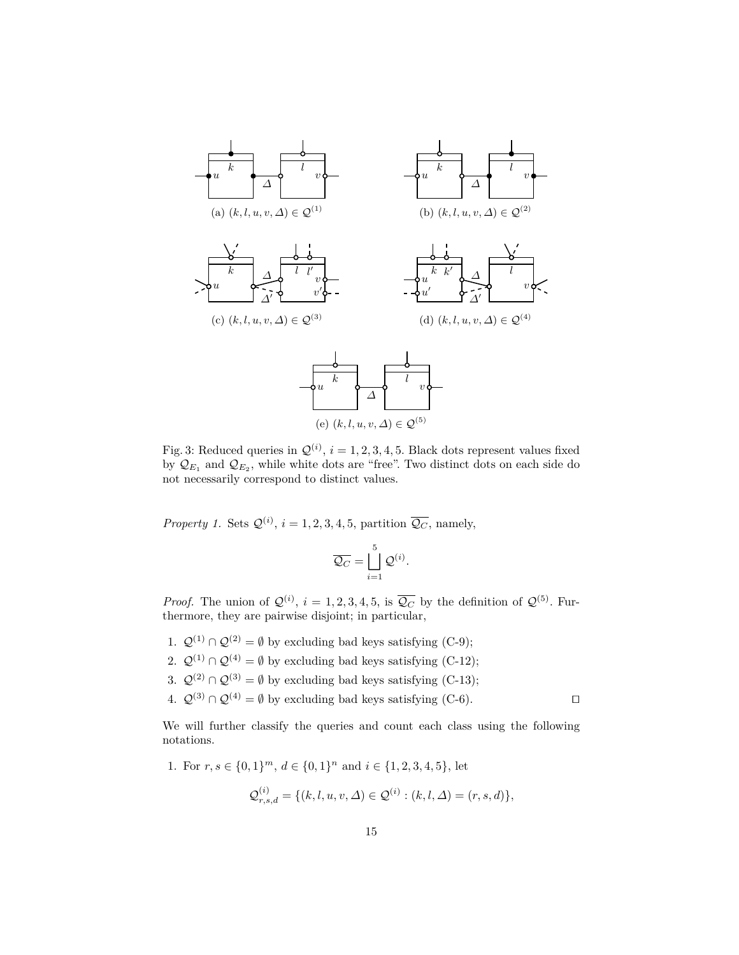<span id="page-14-0"></span>

Fig. 3: Reduced queries in  $\mathcal{Q}^{(i)}$ ,  $i = 1, 2, 3, 4, 5$ . Black dots represent values fixed by  $\mathcal{Q}_{E_1}$  and  $\mathcal{Q}_{E_2}$ , while white dots are "free". Two distinct dots on each side do not necessarily correspond to distinct values.

*Property 1.* Sets  $\mathcal{Q}^{(i)}$ ,  $i = 1, 2, 3, 4, 5$ , partition  $\overline{\mathcal{Q}_C}$ , namely,

$$
\overline{\mathcal{Q}_C} = \bigsqcup_{i=1}^5 \mathcal{Q}^{(i)}.
$$

*Proof.* The union of  $\mathcal{Q}^{(i)}$ ,  $i = 1, 2, 3, 4, 5$ , is  $\overline{\mathcal{Q}_C}$  by the definition of  $\mathcal{Q}^{(5)}$ . Furthermore, they are pairwise disjoint; in particular,

- 1.  $\mathcal{Q}^{(1)} \cap \mathcal{Q}^{(2)} = \emptyset$  by excluding bad keys satisfying (C-9);
- 2.  $Q^{(1)} \cap Q^{(4)} = \emptyset$  by excluding bad keys satisfying (C-12);
- 3.  $Q^{(2)} \cap Q^{(3)} = \emptyset$  by excluding bad keys satisfying (C-13);
- 4.  $\mathcal{Q}^{(3)} \cap \mathcal{Q}^{(4)} = \emptyset$  by excluding bad keys satisfying (C-6).

We will further classify the queries and count each class using the following notations.

1. For  $r, s \in \{0, 1\}^m$ ,  $d \in \{0, 1\}^n$  and  $i \in \{1, 2, 3, 4, 5\}$ , let

$$
\mathcal{Q}_{r,s,d}^{(i)} = \{(k,l,u,v,\Delta) \in \mathcal{Q}^{(i)} : (k,l,\Delta) = (r,s,d)\},\
$$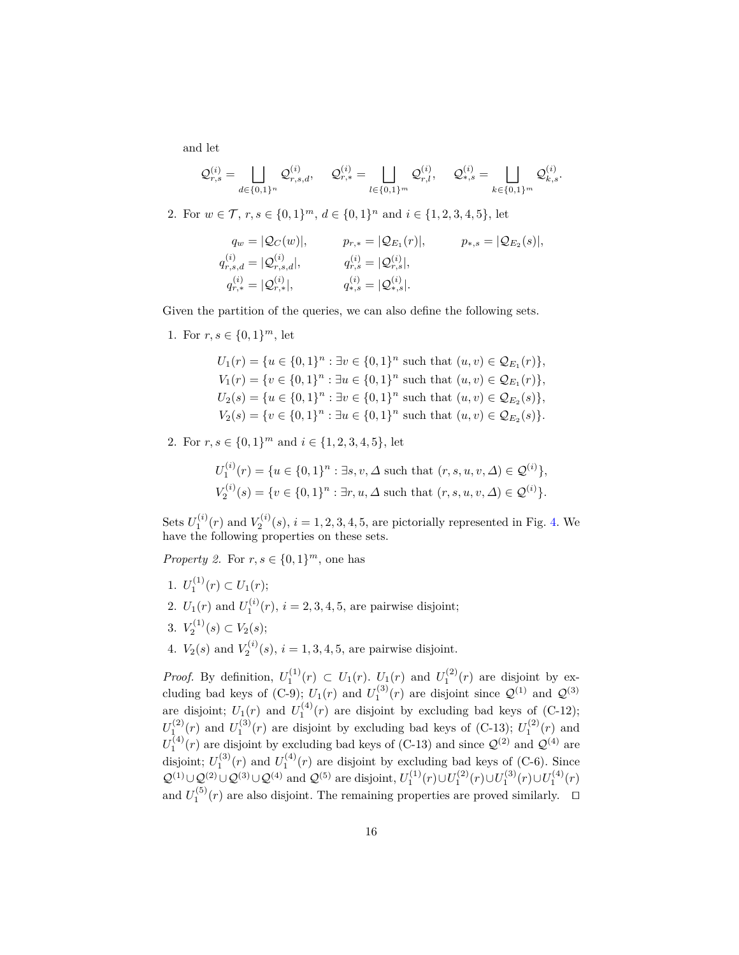and let

$$
\mathcal{Q}_{r,s}^{(i)} = \bigsqcup_{d \in \{0,1\}^n} \mathcal{Q}_{r,s,d}^{(i)}, \quad \mathcal{Q}_{r,*}^{(i)} = \bigsqcup_{l \in \{0,1\}^m} \mathcal{Q}_{r,l}^{(i)}, \quad \mathcal{Q}_{*,s}^{(i)} = \bigsqcup_{k \in \{0,1\}^m} \mathcal{Q}_{k,s}^{(i)}.
$$

2. For  $w \in \mathcal{T}$ ,  $r, s \in \{0, 1\}^m$ ,  $d \in \{0, 1\}^n$  and  $i \in \{1, 2, 3, 4, 5\}$ , let

$$
q_w = |Q_C(w)|, \t\t p_{r,*} = |Q_{E_1}(r)|, \t\t p_{*,s} = |Q_{E_2}(s)|,
$$
  
\n
$$
q_{r,s,d}^{(i)} = |Q_{r,s,d}^{(i)}|, \t\t q_{r,*}^{(i)} = |Q_{r,*}^{(i)}|, \t\t q_{*,s}^{(i)} = |Q_{*,s}^{(i)}|.
$$
  
\n
$$
p_{*,s} = |Q_{E_2}(s)|, \t\t q_{*,s}^{(i)} = |Q_{*,s}^{(i)}|.
$$

Given the partition of the queries, we can also define the following sets.

1. For  $r, s \in \{0, 1\}^m$ , let

$$
U_1(r) = \{u \in \{0,1\}^n : \exists v \in \{0,1\}^n \text{ such that } (u, v) \in \mathcal{Q}_{E_1}(r)\},
$$
  
\n
$$
V_1(r) = \{v \in \{0,1\}^n : \exists u \in \{0,1\}^n \text{ such that } (u, v) \in \mathcal{Q}_{E_1}(r)\},
$$
  
\n
$$
U_2(s) = \{u \in \{0,1\}^n : \exists v \in \{0,1\}^n \text{ such that } (u, v) \in \mathcal{Q}_{E_2}(s)\},
$$
  
\n
$$
V_2(s) = \{v \in \{0,1\}^n : \exists u \in \{0,1\}^n \text{ such that } (u, v) \in \mathcal{Q}_{E_2}(s)\}.
$$

2. For  $r, s \in \{0, 1\}^m$  and  $i \in \{1, 2, 3, 4, 5\}$ , let

$$
U_1^{(i)}(r) = \{u \in \{0, 1\}^n : \exists s, v, \Delta \text{ such that } (r, s, u, v, \Delta) \in \mathcal{Q}^{(i)}\},
$$
  

$$
V_2^{(i)}(s) = \{v \in \{0, 1\}^n : \exists r, u, \Delta \text{ such that } (r, s, u, v, \Delta) \in \mathcal{Q}^{(i)}\}.
$$

Sets  $U_1^{(i)}(r)$  and  $V_2^{(i)}(s)$ ,  $i = 1, 2, 3, 4, 5$ , are pictorially represented in Fig. [4.](#page-16-0) We have the following properties on these sets.

*Property 2.* For  $r, s \in \{0, 1\}^m$ , one has

- 1.  $U_1^{(1)}(r) \subset U_1(r);$ 2.  $U_1(r)$  and  $U_1^{(i)}(r)$ ,  $i = 2, 3, 4, 5$ , are pairwise disjoint; 3.  $V_2^{(1)}(s) \subset V_2(s);$
- 4.  $V_2(s)$  and  $V_2^{(i)}(s)$ ,  $i = 1, 3, 4, 5$ , are pairwise disjoint.

*Proof.* By definition,  $U_1^{(1)}(r) \subset U_1(r)$ .  $U_1(r)$  and  $U_1^{(2)}(r)$  are disjoint by excluding bad keys of (C-9);  $U_1(r)$  and  $U_1^{(3)}(r)$  are disjoint since  $\mathcal{Q}^{(1)}$  and  $\mathcal{Q}^{(3)}$ are disjoint;  $U_1(r)$  and  $U_1^{(4)}(r)$  are disjoint by excluding bad keys of (C-12);  $U_1^{(2)}(r)$  and  $U_1^{(3)}(r)$  are disjoint by excluding bad keys of (C-13);  $U_1^{(2)}(r)$  and  $U_1^{(4)}(r)$  are disjoint by excluding bad keys of (C-13) and since  $\mathcal{Q}^{(2)}$  and  $\mathcal{Q}^{(4)}$  are disjoint;  $U_1^{(3)}(r)$  and  $U_1^{(4)}(r)$  are disjoint by excluding bad keys of (C-6). Since  $\mathcal{Q}^{(1)} \cup \mathcal{Q}^{(2)} \cup \mathcal{Q}^{(3)} \cup \mathcal{Q}^{(4)}$  and  $\mathcal{Q}^{(5)}$  are disjoint,  $U_1^{(1)}(r) \cup U_1^{(2)}(r) \cup U_1^{(3)}(r) \cup U_1^{(4)}(r)$ and  $U_1^{(5)}(r)$  are also disjoint. The remaining properties are proved similarly.  $\Box$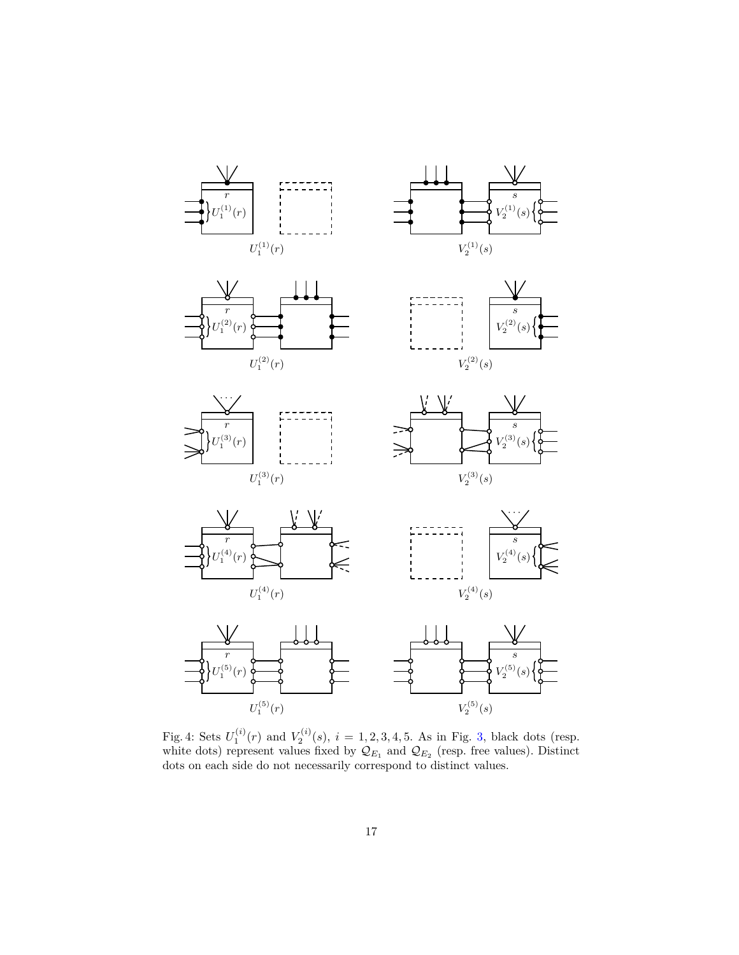<span id="page-16-0"></span>

Fig. 4: Sets  $U_1^{(i)}(r)$  and  $V_2^{(i)}(s)$ ,  $i = 1, 2, 3, 4, 5$  $i = 1, 2, 3, 4, 5$  $i = 1, 2, 3, 4, 5$ . As in Fig. 3, black dots (resp. white dots) represent values fixed by  $\mathcal{Q}_{E_1}$  and  $\mathcal{Q}_{E_2}$  (resp. free values). Distinct dots on each side do not necessarily correspond to distinct values.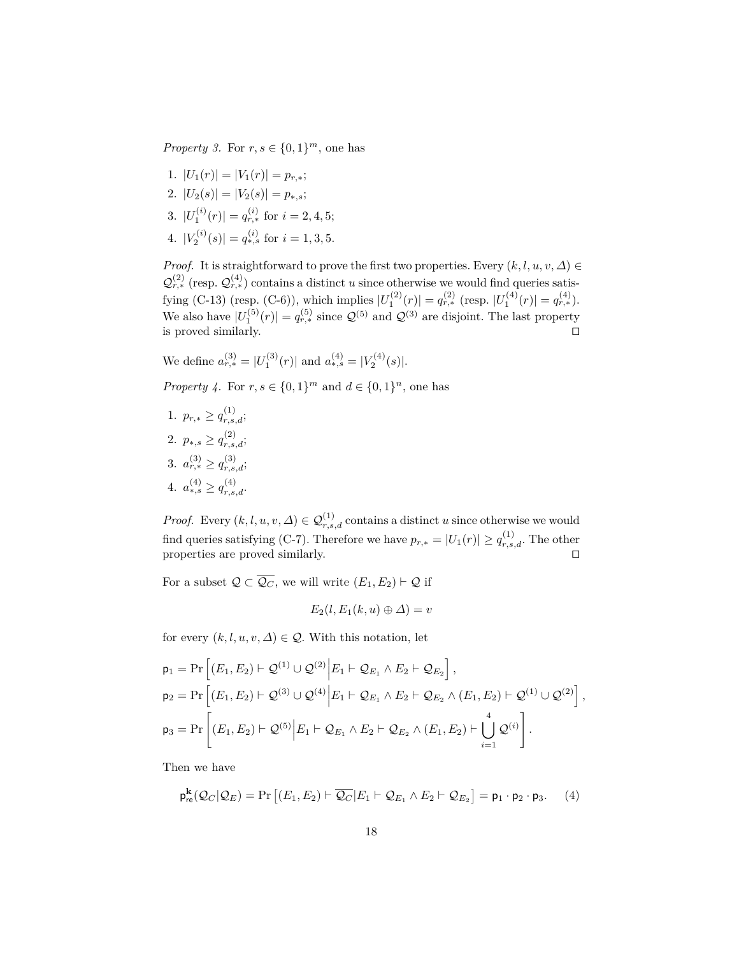*Property 3.* For  $r, s \in \{0, 1\}^m$ , one has

- 1.  $|U_1(r)| = |V_1(r)| = p_{r,*};$
- 2.  $|U_2(s)| = |V_2(s)| = p_{*,s};$
- 3.  $|U_1^{(i)}(r)| = q_{r,*}^{(i)}$  for  $i = 2, 4, 5;$
- 4.  $|V_2^{(i)}(s)| = q_{*,s}^{(i)}$  for  $i = 1, 3, 5$ .

*Proof.* It is straightforward to prove the first two properties. Every  $(k, l, u, v, \Delta) \in$  $\mathcal{Q}_{r,*}^{(2)}$  (resp.  $\mathcal{Q}_{r,*}^{(4)}$ ) contains a distinct *u* since otherwise we would find queries satisfying (C-13) (resp. (C-6)), which implies  $|U_1^{(2)}(r)| = q_{r,*}^{(2)}$  (resp.  $|U_1^{(4)}(r)| = q_{r,*}^{(4)}$ ). We also have  $|U_1^{(5)}(r)| = q_{r,*}^{(5)}$  since  $\mathcal{Q}^{(5)}$  and  $\mathcal{Q}^{(3)}$  are disjoint. The last property is proved similarly.  $\Box$ 

We define  $a_{r,*}^{(3)} = |U_1^{(3)}(r)|$  and  $a_{*,s}^{(4)} = |V_2^{(4)}(s)|$ .

*Property 4.* For  $r, s \in \{0, 1\}^m$  and  $d \in \{0, 1\}^n$ , one has

1.  $p_{r,*} \geq q_{r,s,d}^{(1)};$ 2.  $p_{*,s} \geq q_{r,s,d}^{(2)};$ 3.  $a_{r,*}^{(3)} \geq q_{r,s,d}^{(3)};$ 4.  $a_{*,s}^{(4)} \geq q_{r,s,d}^{(4)}$ .

*Proof.* Every  $(k, l, u, v, \Delta) \in \mathcal{Q}_{r,s,d}^{(1)}$  contains a distinct *u* since otherwise we would find queries satisfying (C-7). Therefore we have  $p_{r,*} = |U_1(r)| \ge q_{r,s,d}^{(1)}$ . The other properties are proved similarly.  $\Box$ 

For a subset  $\mathcal{Q} \subset \overline{\mathcal{Q}_C}$ , we will write  $(E_1, E_2) \vdash \mathcal{Q}$  if

$$
E_2(l, E_1(k, u) \oplus \Delta) = v
$$

for every  $(k, l, u, v, \Delta) \in \mathcal{Q}$ . With this notation, let

$$
p_1 = \Pr\left[ (E_1, E_2) \vdash Q^{(1)} \cup Q^{(2)} \middle| E_1 \vdash Q_{E_1} \land E_2 \vdash Q_{E_2} \right],
$$
  
\n
$$
p_2 = \Pr\left[ (E_1, E_2) \vdash Q^{(3)} \cup Q^{(4)} \middle| E_1 \vdash Q_{E_1} \land E_2 \vdash Q_{E_2} \land (E_1, E_2) \vdash Q^{(1)} \cup Q^{(2)} \right],
$$
  
\n
$$
p_3 = \Pr\left[ (E_1, E_2) \vdash Q^{(5)} \middle| E_1 \vdash Q_{E_1} \land E_2 \vdash Q_{E_2} \land (E_1, E_2) \vdash \bigcup_{i=1}^4 Q^{(i)} \right].
$$

Then we have

<span id="page-17-0"></span>
$$
\mathsf{p}_{\mathsf{re}}^{\mathbf{k}}(\mathcal{Q}_C|\mathcal{Q}_E) = \Pr\left[ (E_1, E_2) \vdash \overline{\mathcal{Q}_C} | E_1 \vdash \mathcal{Q}_{E_1} \land E_2 \vdash \mathcal{Q}_{E_2} \right] = \mathsf{p}_1 \cdot \mathsf{p}_2 \cdot \mathsf{p}_3. \tag{4}
$$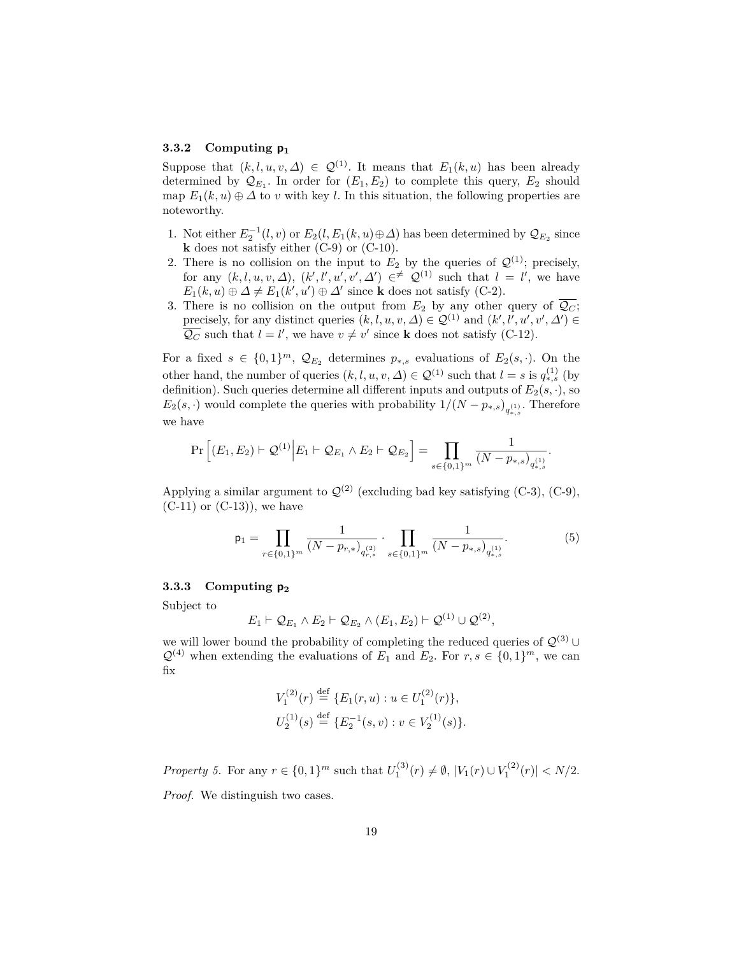#### **3.3.2 Computing p<sup>1</sup>**

Suppose that  $(k, l, u, v, \Delta) \in \mathcal{Q}^{(1)}$ . It means that  $E_1(k, u)$  has been already determined by  $\mathcal{Q}_{E_1}$ . In order for  $(E_1, E_2)$  to complete this query,  $E_2$  should map  $E_1(k, u) \oplus \Delta$  to *v* with key *l*. In this situation, the following properties are noteworthy.

- 1. Not either  $E_2^{-1}(l, v)$  or  $E_2(l, E_1(k, u) \oplus \Delta)$  has been determined by  $\mathcal{Q}_{E_2}$  since **k** does not satisfy either (C-9) or (C-10).
- 2. There is no collision on the input to  $E_2$  by the queries of  $\mathcal{Q}^{(1)}$ ; precisely, for any  $(k, l, u, v, \Delta)$ ,  $(k', l', u', v', \Delta') \in \ell^{\neq} \mathcal{Q}^{(1)}$  such that  $l = l'$ , we have  $E_1(k, u) \oplus \Delta \neq E_1(k', u') \oplus \Delta'$  since **k** does not satisfy (C-2).
- 3. There is no collision on the output from  $E_2$  by any other query of  $\overline{Q_C}$ ; precisely, for any distinct queries  $(k, l, u, v, \Delta) \in \mathcal{Q}^{(1)}$  and  $(k', l', u', v', \Delta') \in$  $\overline{Q_C}$  such that  $l = l'$ , we have  $v \neq v'$  since **k** does not satisfy (C-12).

For a fixed  $s \in \{0,1\}^m$ ,  $\mathcal{Q}_{E_2}$  determines  $p_{*,s}$  evaluations of  $E_2(s, \cdot)$ . On the other hand, the number of queries  $(k, l, u, v, \Delta) \in \mathcal{Q}^{(1)}$  such that  $l = s$  is  $q_{*,s}^{(1)}$  (by definition). Such queries determine all different inputs and outputs of  $E_2(s, \cdot)$ , so  $E_2(s, \cdot)$  would complete the queries with probability  $1/(N - p_{*,s})_{q_{*,s}^{(1)}}$ . Therefore we have

$$
\Pr\left[ (E_1, E_2) \vdash \mathcal{Q}^{(1)} \middle| E_1 \vdash \mathcal{Q}_{E_1} \land E_2 \vdash \mathcal{Q}_{E_2} \right] = \prod_{s \in \{0, 1\}^m} \frac{1}{(N - p_{*,s})_{q_{*,s}^{(1)}}}.
$$

Applying a similar argument to  $\mathcal{Q}^{(2)}$  (excluding bad key satisfying (C-3), (C-9),  $(C-11)$  or  $(C-13)$ , we have

<span id="page-18-1"></span>
$$
\mathsf{p}_1 = \prod_{r \in \{0,1\}^m} \frac{1}{(N - p_{r,*})_{q_{r,*}^{(2)}}} \cdot \prod_{s \in \{0,1\}^m} \frac{1}{(N - p_{*,s})_{q_{*,s}^{(1)}}}.\tag{5}
$$

#### **3.3.3 Computing p<sup>2</sup>**

Subject to

$$
E_1 \vdash \mathcal{Q}_{E_1} \land E_2 \vdash \mathcal{Q}_{E_2} \land (E_1, E_2) \vdash \mathcal{Q}^{(1)} \cup \mathcal{Q}^{(2)},
$$

we will lower bound the probability of completing the reduced queries of  $\mathcal{Q}^{(3)}$  ∪  $\mathcal{Q}^{(4)}$  when extending the evaluations of  $E_1$  and  $E_2$ . For  $r, s \in \{0, 1\}^m$ , we can fix

$$
V_1^{(2)}(r) \stackrel{\text{def}}{=} \{E_1(r, u) : u \in U_1^{(2)}(r)\},
$$
  

$$
U_2^{(1)}(s) \stackrel{\text{def}}{=} \{E_2^{-1}(s, v) : v \in V_2^{(1)}(s)\}.
$$

<span id="page-18-0"></span>*Property 5.* For any  $r \in \{0, 1\}^m$  such that  $U_1^{(3)}(r) \neq \emptyset$ ,  $|V_1(r) \cup V_1^{(2)}(r)| < N/2$ . *Proof.* We distinguish two cases.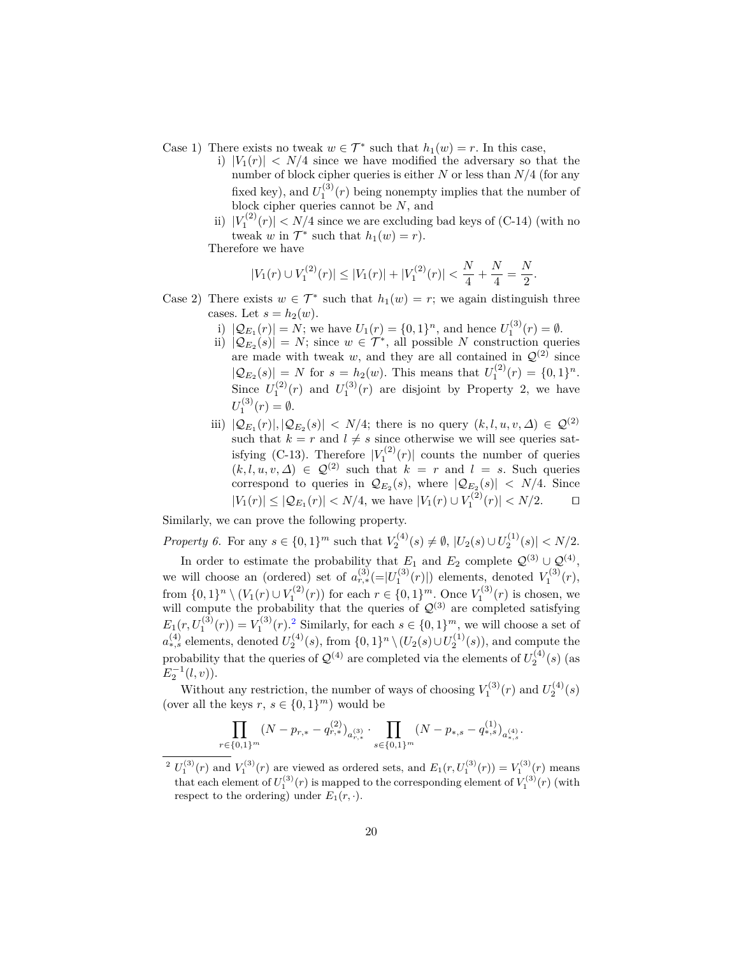- Case 1) There exists no tweak  $w \in \mathcal{T}^*$  such that  $h_1(w) = r$ . In this case,
	- i)  $|V_1(r)| < N/4$  since we have modified the adversary so that the number of block cipher queries is either *N* or less than *N/*4 (for any fixed key), and  $U_1^{(3)}(r)$  being nonempty implies that the number of block cipher queries cannot be *N*, and
	- ii)  $|V_1^{(2)}(r)| < N/4$  since we are excluding bad keys of (C-14) (with no tweak *w* in  $\mathcal{T}^*$  such that  $h_1(w) = r$ .

Therefore we have

$$
|V_1(r) \cup V_1^{(2)}(r)| \leq |V_1(r)| + |V_1^{(2)}(r)| < \frac{N}{4} + \frac{N}{4} = \frac{N}{2}.
$$

- Case 2) There exists  $w \in \mathcal{T}^*$  such that  $h_1(w) = r$ ; we again distinguish three cases. Let  $s = h_2(w)$ .
	- i)  $|Q_{E_1}(r)| = N$ ; we have  $U_1(r) = \{0, 1\}^n$ , and hence  $U_1^{(3)}(r) = \emptyset$ .
	- ii)  $|Q_{E_2}(s)| = N$ ; since  $w \in \mathcal{T}^*$ , all possible *N* construction queries are made with tweak  $w$ , and they are all contained in  $\mathcal{Q}^{(2)}$  since  $|\mathcal{Q}_{E_2}(s)| = N$  for  $s = h_2(w)$ . This means that  $U_1^{(2)}(r) = \{0, 1\}^n$ . Since  $U_1^{(2)}(r)$  and  $U_1^{(3)}(r)$  are disjoint by Property 2, we have  $U_1^{(3)}(r) = \emptyset.$
	- iii)  $|\mathcal{Q}_{E_1}(r)|, |\mathcal{Q}_{E_2}(s)| \langle N/4; \text{ there is no query } (k, l, u, v, \Delta) \in \mathcal{Q}^{(2)}$ such that  $k = r$  and  $l \neq s$  since otherwise we will see queries satisfying (C-13). Therefore  $|V_1^{(2)}(r)|$  counts the number of queries  $(k, l, u, v, \Delta) \in \mathcal{Q}^{(2)}$  such that  $k = r$  and  $l = s$ . Such queries correspond to queries in  $\mathcal{Q}_{E_2}(s)$ , where  $|\mathcal{Q}_{E_2}(s)| < N/4$ . Since  $|V_1(r)|$  ≤  $|Q_{E_1}(r)|$  <  $N/4$ , we have  $|V_1(r) \cup V_1^{(2)}(r)|$  <  $N/2$ . □

Similarly, we can prove the following property.

*Property 6.* For any  $s \in \{0, 1\}^m$  such that  $V_2^{(4)}(s) \neq \emptyset$ ,  $|U_2(s) \cup U_2^{(1)}(s)| < N/2$ .

In order to estimate the probability that  $E_1$  and  $E_2$  complete  $\mathcal{Q}^{(3)} \cup \mathcal{Q}^{(4)}$ , we will choose an (ordered) set of  $a_{r,*}^{(3)}(=|U_1^{(3)}(r)|)$  elements, denoted  $V_1^{(3)}(r)$ ,  $_1$  (*i*) elements, denoted  $v_1$ from  $\{0,1\}^n \setminus (V_1(r) \cup V_1^{(2)}(r))$  for each  $r \in \{0,1\}^m$ . Once  $V_1^{(3)}(r)$  is chosen, we will compute the probability that the queries of  $\mathcal{Q}^{(3)}$  are completed satisfying  $E_1(r, U_1^{(3)}(r)) = V_1^{(3)}(r)$ .<sup>[2](#page-19-0)</sup> Similarly, for each  $s \in \{0, 1\}^m$ , we will choose a set of  $a_{*,s}^{(4)}$  elements, denoted  $U_2^{(4)}(s)$ , from  $\{0,1\}^n \setminus (U_2(s) \cup U_2^{(1)}(s))$ , and compute the probability that the queries of  $\mathcal{Q}^{(4)}$  are completed via the elements of  $U_2^{(4)}(s)$  (as  $E_2^{-1}(l, v)$ ).

Without any restriction, the number of ways of choosing  $V_1^{(3)}(r)$  and  $U_2^{(4)}(s)$ (over all the keys  $r, s \in \{0, 1\}^m$ ) would be

$$
\prod_{r \in \{0,1\}^m} (N - p_{r,*} - q_{r,*}^{(2)})_{a_{r,*}^{(3)}} \cdot \prod_{s \in \{0,1\}^m} (N - p_{*,s} - q_{*,s}^{(1)})_{a_{*,s}^{(4)}}.
$$

<span id="page-19-0"></span><sup>&</sup>lt;sup>2</sup>  $U_1^{(3)}(r)$  and  $V_1^{(3)}(r)$  are viewed as ordered sets, and  $E_1(r, U_1^{(3)}(r)) = V_1^{(3)}(r)$  means that each element of  $U_1^{(3)}(r)$  is mapped to the corresponding element of  $V_1^{(3)}(r)$  (with respect to the ordering) under  $E_1(r, \cdot)$ .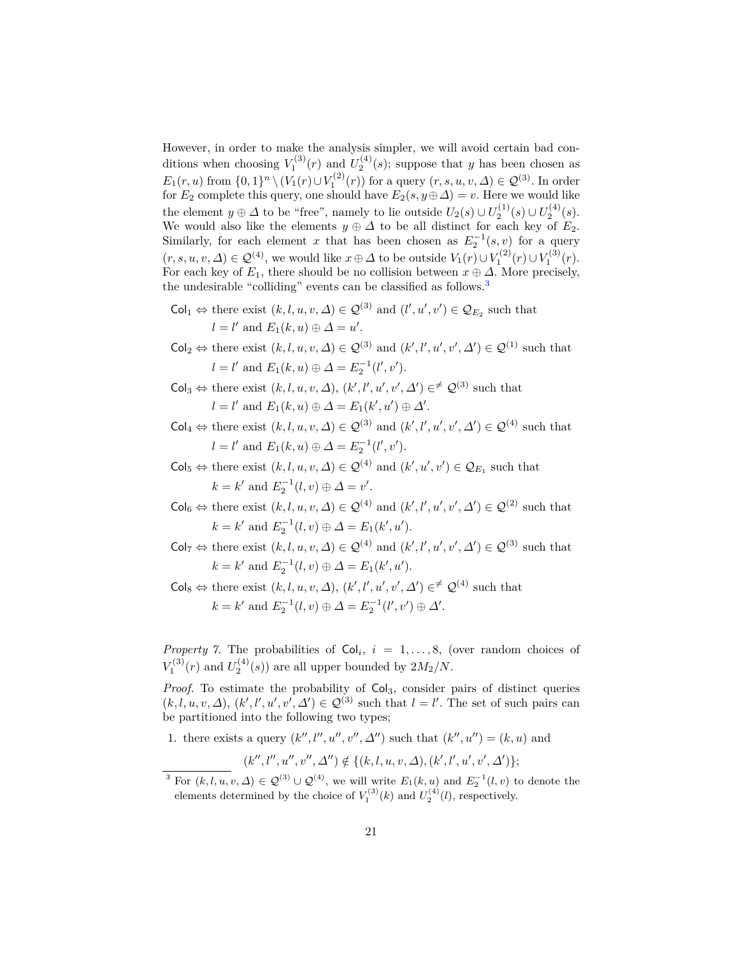However, in order to make the analysis simpler, we will avoid certain bad conditions when choosing  $V_1^{(3)}(r)$  and  $U_2^{(4)}(s)$ ; suppose that *y* has been chosen as *E*<sub>1</sub>(*r, u*) from {0, 1}<sup>*n*</sup> \(*V*<sub>1</sub>(*r*)∪*V*<sub>1</sub><sup>(2)</sup>(*r*)) for a query (*r, s, u, v,* ∆) ∈  $\mathcal{Q}^{(3)}$ . In order for  $E_2$  complete this query, one should have  $E_2(s, y \oplus \Delta) = v$ . Here we would like the element  $y \oplus \Delta$  to be "free", namely to lie outside  $U_2(s) \cup U_2^{(1)}(s) \cup U_2^{(4)}(s)$ . We would also like the elements  $y \oplus \Delta$  to be all distinct for each key of  $E_2$ . Similarly, for each element *x* that has been chosen as  $E_2^{-1}(s, v)$  for a query  $(r, s, u, v, \Delta) \in \mathcal{Q}^{(4)}$ , we would like  $x \oplus \Delta$  to be outside  $V_1(r) \cup V_1^{(2)}(r) \cup V_1^{(3)}(r)$ . For each key of  $E_1$ , there should be no collision between  $x \oplus \Delta$ . More precisely, the undesirable "colliding" events can be classified as follows.<sup>[3](#page-20-0)</sup>

 $\mathsf{Col}_1 \Leftrightarrow \text{there exist } (k, l, u, v, \Delta) \in \mathcal{Q}^{(3)} \text{ and } (l', u', v') \in \mathcal{Q}_{E_2} \text{ such that }$  $l = l'$  and  $E_1(k, u) \oplus \Delta = u'.$ 

 $\mathsf{Col}_2 \Leftrightarrow \text{there exist } (k, l, u, v, \Delta) \in \mathcal{Q}^{(3)} \text{ and } (k', l', u', v', \Delta') \in \mathcal{Q}^{(1)} \text{ such that }$  $l = l'$  and  $E_1(k, u) \oplus \Delta = E_2^{-1}(l', v').$ 

- $\mathsf{Col}_3 \Leftrightarrow \text{there exist } (k, l, u, v, \Delta), (k', l', u', v', \Delta') \in \mathcal{F} \mathcal{Q}^{(3)} \text{ such that }$  $l = l'$  and  $E_1(k, u) \oplus \Delta = E_1(k', u') \oplus \Delta'.$
- $\textsf{Col}_4 \Leftrightarrow \text{there exist } (k, l, u, v, \Delta) \in \mathcal{Q}^{(3)} \text{ and } (k', l', u', v', \Delta') \in \mathcal{Q}^{(4)} \text{ such that }$  $l = l'$  and  $E_1(k, u) \oplus \Delta = E_2^{-1}(l', v').$
- $\mathsf{Col}_5 \Leftrightarrow \text{there exist } (k, l, u, v, \Delta) \in \mathcal{Q}^{(4)} \text{ and } (k', u', v') \in \mathcal{Q}_{E_1} \text{ such that }$  $k = k'$  and  $E_2^{-1}(l, v) \oplus \Delta = v'.$
- $\mathsf{Col}_6 \Leftrightarrow \text{there exist } (k, l, u, v, \Delta) \in \mathcal{Q}^{(4)} \text{ and } (k', l', u', v', \Delta') \in \mathcal{Q}^{(2)} \text{ such that }$  $k = k'$  and  $E_2^{-1}(l, v) \oplus \Delta = E_1(k', u').$
- $\mathsf{Col}_7 \Leftrightarrow \text{there exist } (k, l, u, v, \Delta) \in \mathcal{Q}^{(4)} \text{ and } (k', l', u', v', \Delta') \in \mathcal{Q}^{(3)} \text{ such that }$  $k = k'$  and  $E_2^{-1}(l, v) \oplus \Delta = E_1(k', u').$
- $\mathsf{Col}_8 \Leftrightarrow \text{there exist } (k, l, u, v, \Delta), (k', l', u', v', \Delta') \in \mathcal{F} \mathcal{Q}^{(4)} \text{ such that }$  $k = k'$  and  $E_2^{-1}(l, v) \oplus \Delta = E_2^{-1}(l', v') \oplus \Delta'.$

<span id="page-20-1"></span>*Property 7.* The probabilities of  $Col_i$ ,  $i = 1, ..., 8$ , (over random choices of  $V_1^{(3)}(r)$  and  $U_2^{(4)}(s)$ ) are all upper bounded by  $2M_2/N$ .

*Proof.* To estimate the probability of  $Col<sub>3</sub>$ , consider pairs of distinct queries  $(k, l, u, v, \Delta), (k', l', u', v', \Delta') \in \mathcal{Q}^{(3)}$  such that  $l = l'$ . The set of such pairs can be partitioned into the following two types;

1. there exists a query  $(k'', l'', u'', v'', \Delta'')$  such that  $(k'', u'') = (k, u)$  and

$$
(k'',l'',u'',v'',\varDelta'')\not\in\{(k,l,u,v,\varDelta),(k',l',u',v',\varDelta')\};
$$

<span id="page-20-0"></span><sup>&</sup>lt;sup>3</sup> For  $(k, l, u, v, \Delta) \in \mathcal{Q}^{(3)} \cup \mathcal{Q}^{(4)}$ , we will write  $E_1(k, u)$  and  $E_2^{-1}(l, v)$  to denote the elements determined by the choice of  $V_1^{(3)}(k)$  and  $U_2^{(4)}(l)$ , respectively.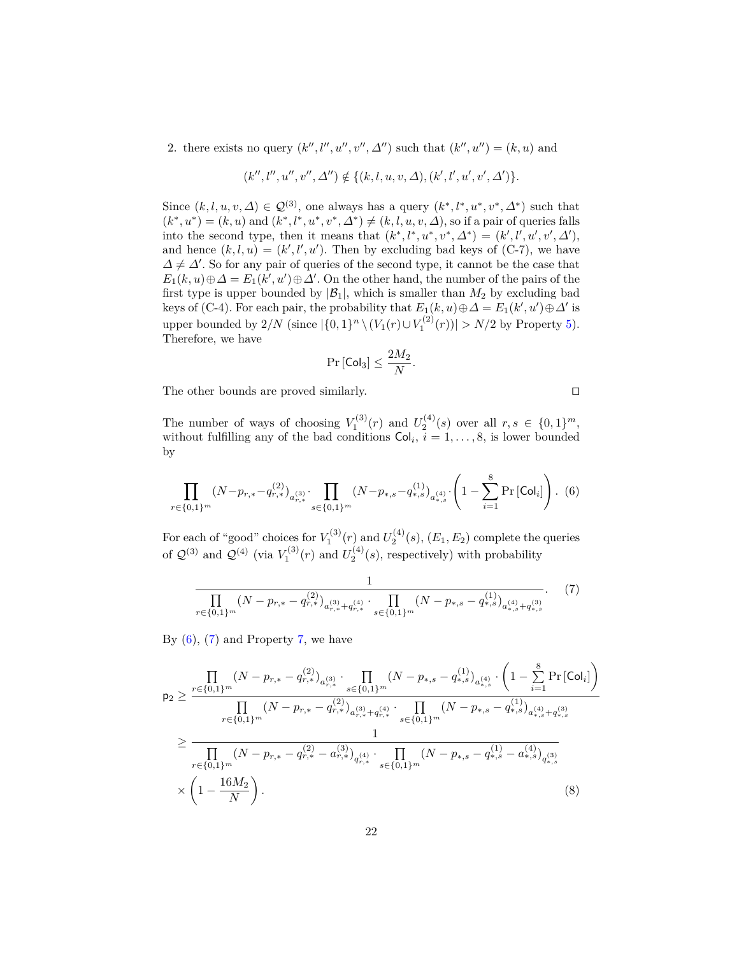2. there exists no query  $(k'', l'', u'', v'', \Delta'')$  such that  $(k'', u'') = (k, u)$  and

$$
(k'',l'',u'',v'',\varDelta'') \notin \{(k,l,u,v,\varDelta),(k',l',u',v',\varDelta')\}.
$$

Since  $(k, l, u, v, \Delta) \in \mathcal{Q}^{(3)}$ , one always has a query  $(k^*, l^*, u^*, v^*, \Delta^*)$  such that  $(k^*, u^*) = (k, u)$  and  $(k^*, l^*, u^*, v^*, \Delta^*) \neq (k, l, u, v, \Delta)$ , so if a pair of queries falls into the second type, then it means that  $(k^*, l^*, u^*, v^*, \Delta^*) = (k', l', u', v', \Delta'),$ and hence  $(k, l, u) = (k', l', u')$ . Then by excluding bad keys of (C-7), we have  $\Delta \neq \Delta'$ . So for any pair of queries of the second type, it cannot be the case that  $E_1(k, u) \oplus \Delta = E_1(k', u') \oplus \Delta'$ . On the other hand, the number of the pairs of the first type is upper bounded by  $|\mathcal{B}_1|$ , which is smaller than  $M_2$  by excluding bad keys of (C-4). For each pair, the probability that  $E_1(k, u) \oplus \Delta = E_1(k', u') \oplus \Delta'$  is upper bounded by  $2/N$  (since  $|\{0,1\}^n \setminus (V_1(r) \cup V_1^{(2)}(r))| > N/2$  by Property [5\)](#page-18-0). Therefore, we have

$$
\Pr\left[\mathsf{Col}_3\right] \leq \frac{2M_2}{N}
$$

*.*

The other bounds are proved similarly.  $\Box$ 

<span id="page-21-2"></span>

The number of ways of choosing  $V_1^{(3)}(r)$  and  $U_2^{(4)}(s)$  over all  $r, s \in \{0, 1\}^m$ , without fulfilling any of the bad conditions  $Col_i$ ,  $i = 1, \ldots, 8$ , is lower bounded by

<span id="page-21-0"></span>
$$
\prod_{r \in \{0,1\}^m} (N - p_{r,*} - q_{r,*}^{(2)})_{a_{r,*}^{(3)}} \cdot \prod_{s \in \{0,1\}^m} (N - p_{*,s} - q_{*,s}^{(1)})_{a_{*,s}^{(4)}} \cdot \left(1 - \sum_{i=1}^8 \Pr\left[\text{Col}_i\right]\right). \tag{6}
$$

For each of "good" choices for  $V_1^{(3)}(r)$  and  $U_2^{(4)}(s)$ ,  $(E_1, E_2)$  complete the queries of  $\mathcal{Q}^{(3)}$  and  $\mathcal{Q}^{(4)}$  (via  $V_1^{(3)}(r)$  and  $U_2^{(4)}(s)$ , respectively) with probability

<span id="page-21-1"></span>
$$
\frac{1}{\prod_{r \in \{0,1\}^m} (N - p_{r,*} - q_{r,*}^{(2)})_{a_{r,*}^{(3)} + q_{r,*}^{(4)}} \cdot \prod_{s \in \{0,1\}^m} (N - p_{*,s} - q_{*,s}^{(1)})_{a_{*,s}^{(4)} + q_{*,s}^{(3)}}}.
$$
(7)

By  $(6)$ ,  $(7)$  and Property [7,](#page-20-1) we have

$$
p_{2} \geq \frac{\prod_{r \in \{0,1\}^{m}} (N - p_{r,*} - q_{r,*}^{(2)})_{a_{r,*}^{(3)}} \cdot \prod_{s \in \{0,1\}^{m}} (N - p_{*,s} - q_{*,s}^{(1)})_{a_{*,s}^{(4)}} \cdot \left(1 - \sum_{i=1}^{8} \Pr\left[\text{Col}_{i}\right]\right)}{\prod_{r \in \{0,1\}^{m}} (N - p_{r,*} - q_{r,*}^{(2)})_{a_{r,*}^{(3)} + q_{r,*}^{(4)}} \cdot \prod_{s \in \{0,1\}^{m}} (N - p_{*,s} - q_{*,s}^{(1)})_{a_{*,s}^{(4)} + q_{*,s}^{(3)}}}
$$
\n
$$
\geq \frac{1}{\prod_{r \in \{0,1\}^{m}} (N - p_{r,*} - q_{r,*}^{(2)} - a_{r,*}^{(3)})_{q_{r,*}^{(4)}} \cdot \prod_{s \in \{0,1\}^{m}} (N - p_{*,s} - q_{*,s}^{(1)} - a_{*,s}^{(4)})_{q_{*,s}^{(3)}}}
$$
\n
$$
\times \left(1 - \frac{16M_{2}}{N}\right).
$$
\n(8)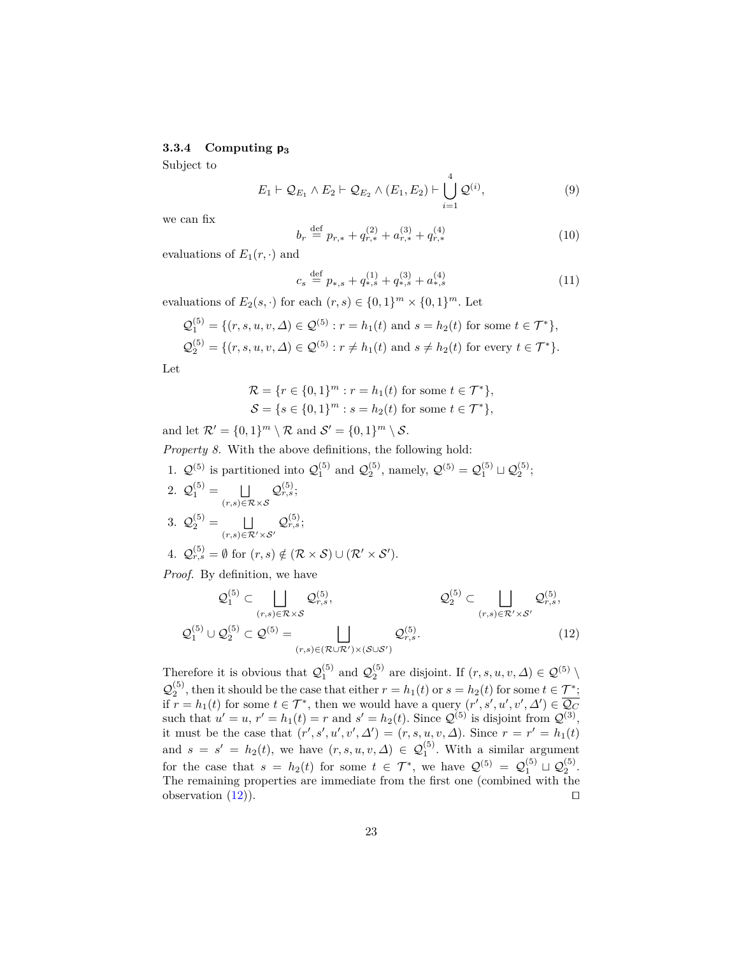#### **3.3.4 Computing p<sup>3</sup>**

Subject to

<span id="page-22-1"></span>
$$
E_1 \vdash \mathcal{Q}_{E_1} \land E_2 \vdash \mathcal{Q}_{E_2} \land (E_1, E_2) \vdash \bigcup_{i=1}^{4} \mathcal{Q}^{(i)},
$$
\n(9)

we can fix

$$
b_r \stackrel{\text{def}}{=} p_{r,*} + q_{r,*}^{(2)} + a_{r,*}^{(3)} + q_{r,*}^{(4)}
$$
(10)

evaluations of  $E_1(r, \cdot)$  and

$$
c_s \stackrel{\text{def}}{=} p_{*,s} + q_{*,s}^{(1)} + q_{*,s}^{(3)} + a_{*,s}^{(4)}
$$
(11)

evaluations of  $E_2(s, \cdot)$  for each  $(r, s) \in \{0, 1\}^m \times \{0, 1\}^m$ . Let

$$
\mathcal{Q}_1^{(5)} = \{ (r, s, u, v, \Delta) \in \mathcal{Q}^{(5)} : r = h_1(t) \text{ and } s = h_2(t) \text{ for some } t \in \mathcal{T}^* \},
$$
  

$$
\mathcal{Q}_2^{(5)} = \{ (r, s, u, v, \Delta) \in \mathcal{Q}^{(5)} : r \neq h_1(t) \text{ and } s \neq h_2(t) \text{ for every } t \in \mathcal{T}^* \}.
$$

Let

<span id="page-22-2"></span>
$$
\mathcal{R} = \{r \in \{0, 1\}^m : r = h_1(t) \text{ for some } t \in \mathcal{T}^*\},\
$$
  

$$
\mathcal{S} = \{s \in \{0, 1\}^m : s = h_2(t) \text{ for some } t \in \mathcal{T}^*\},
$$

and let  $\mathcal{R}' = \{0, 1\}^m \setminus \mathcal{R}$  and  $\mathcal{S}' = \{0, 1\}^m \setminus \mathcal{S}$ .

*Property 8.* With the above definitions, the following hold:

1.  $Q^{(5)}$  is partitioned into  $Q_1^{(5)}$  and  $Q_2^{(5)}$ , namely,  $Q^{(5)} = Q_1^{(5)} \sqcup Q_2^{(5)}$ ; 2.  $Q_1^{(5)} = \Box$ (*r,s*)∈R×S  $\mathcal{Q}_{r,s}^{(5)};$ 3.  $Q_2^{(5)} = \Box$  $(r,s)∈R'×S'$  $\mathcal{Q}_{r,s}^{(5)};$ 4.  $\mathcal{Q}_{r,s}^{(5)} = \emptyset$  for  $(r,s) \notin (\mathcal{R} \times \mathcal{S}) \cup (\mathcal{R}' \times \mathcal{S}')$ .

*Proof.* By definition, we have

<span id="page-22-0"></span>
$$
Q_1^{(5)} \subset \bigsqcup_{(r,s)\in\mathcal{R}\times\mathcal{S}} Q_{r,s}^{(5)}, \qquad Q_2^{(5)} \subset \bigsqcup_{(r,s)\in\mathcal{R}'\times\mathcal{S}'} Q_{r,s}^{(5)},
$$
  

$$
Q_1^{(5)} \cup Q_2^{(5)} \subset Q^{(5)} = \bigsqcup_{(r,s)\in(\mathcal{R}\cup\mathcal{R}')\times(\mathcal{S}\cup\mathcal{S}')} Q_{r,s}^{(5)}.
$$
 (12)

Therefore it is obvious that  $Q_1^{(5)}$  and  $Q_2^{(5)}$  are disjoint. If  $(r, s, u, v, \Delta) \in \mathcal{Q}^{(5)}$  $\mathcal{Q}_2^{(5)}$ , then it should be the case that either  $r = h_1(t)$  or  $s = h_2(t)$  for some  $t \in \mathcal{T}^*$ ; if  $r = h_1(t)$  for some  $t \in \mathcal{T}^*$ , then we would have a query  $(r', s', u', v', \Delta') \in \overline{Q_C}$ such that  $u' = u$ ,  $r' = h_1(t) = r$  and  $s' = h_2(t)$ . Since  $\mathcal{Q}^{(5)}$  is disjoint from  $\mathcal{Q}^{(3)}$ , it must be the case that  $(r', s', u', v', \Delta') = (r, s, u, v, \Delta)$ . Since  $r = r' = h_1(t)$ and  $s = s' = h_2(t)$ , we have  $(r, s, u, v, \Delta) \in \mathcal{Q}_1^{(5)}$ . With a similar argument for the case that  $s = h_2(t)$  for some  $t \in \mathcal{T}^*$ , we have  $\mathcal{Q}^{(5)} = \mathcal{Q}_1^{(5)} \sqcup \mathcal{Q}_2^{(5)}$ . The remaining properties are immediate from the first one (combined with the observation  $(12)$ .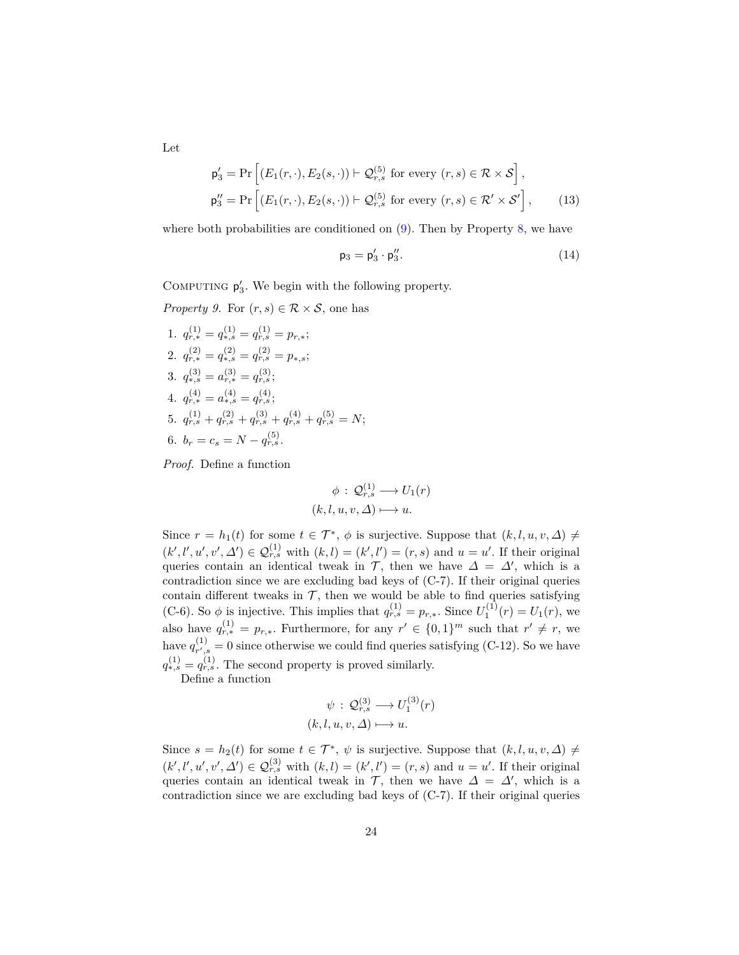Let

$$
\mathsf{p}'_3 = \Pr\left[ (E_1(r, \cdot), E_2(s, \cdot)) \vdash \mathcal{Q}_{r,s}^{(5)} \text{ for every } (r,s) \in \mathcal{R} \times \mathcal{S} \right],
$$
  
\n
$$
\mathsf{p}''_3 = \Pr\left[ (E_1(r, \cdot), E_2(s, \cdot)) \vdash \mathcal{Q}_{r,s}^{(5)} \text{ for every } (r,s) \in \mathcal{R}' \times \mathcal{S}' \right],
$$
\n(13)

where both probabilities are conditioned on  $(9)$ . Then by Property [8,](#page-22-2) we have

<span id="page-23-1"></span><span id="page-23-0"></span>
$$
\mathsf{p}_3 = \mathsf{p}_3' \cdot \mathsf{p}_3''.
$$
 (14)

COMPUTING  $p'_3$ . We begin with the following property.

*Property 9.* For  $(r, s) \in \mathcal{R} \times \mathcal{S}$ , one has

1. 
$$
q_{r,*}^{(1)} = q_{*,s}^{(1)} = q_{r,s}^{(1)} = p_{r,*};
$$
  
\n2.  $q_{r,*}^{(2)} = q_{*,s}^{(2)} = q_{r,s}^{(2)} = p_{*,s};$   
\n3.  $q_{*,s}^{(3)} = a_{r,*}^{(3)} = q_{r,s}^{(3)};$   
\n4.  $q_{r,*}^{(4)} = a_{*,s}^{(4)} = q_{r,s}^{(4)};$   
\n5.  $q_{r,s}^{(1)} + q_{r,s}^{(2)} + q_{r,s}^{(3)} + q_{r,s}^{(4)} + q_{r,s}^{(5)} = N;$   
\n6.  $b_r = c_s = N - q_{r,s}^{(5)}.$ 

*Proof.* Define a function

$$
\phi : \mathcal{Q}_{r,s}^{(1)} \longrightarrow U_1(r)
$$

$$
(k, l, u, v, \Delta) \longmapsto u.
$$

Since  $r = h_1(t)$  for some  $t \in \mathcal{T}^*, \phi$  is surjective. Suppose that  $(k, l, u, v, \Delta) \neq$  $(k', l', u', v', \Delta') \in \mathcal{Q}_{r,s}^{(1)}$  with  $(k, l) = (k', l') = (r, s)$  and  $u = u'$ . If their original queries contain an identical tweak in  $\mathcal{T}$ , then we have  $\Delta = \Delta'$ , which is a contradiction since we are excluding bad keys of (C-7). If their original queries contain different tweaks in  $\mathcal{T}$ , then we would be able to find queries satisfying (C-6). So  $\phi$  is injective. This implies that  $q_{r,s}^{(1)} = p_{r,*}$ . Since  $U_1^{(1)}(r) = U_1(r)$ , we also have  $q_{r,*}^{(1)} = p_{r,*}$ . Furthermore, for any  $r' \in \{0,1\}^m$  such that  $r' \neq r$ , we have  $q_{r'}^{(1)}$  $r'_{r',s} = 0$  since otherwise we could find queries satisfying (C-12). So we have  $q_{*,s}^{(1)} = q_{r,s}^{(1)}$ . The second property is proved similarly.

Define a function

$$
\psi : \mathcal{Q}_{r,s}^{(3)} \longrightarrow U_1^{(3)}(r)
$$
  

$$
(k, l, u, v, \Delta) \longmapsto u.
$$

Since  $s = h_2(t)$  for some  $t \in \mathcal{T}^*, \psi$  is surjective. Suppose that  $(k, l, u, v, \Delta) \neq$  $(k', l', u', v', \Delta') \in \mathcal{Q}_{r,s}^{(3)}$  with  $(k, l) = (k', l') = (r, s)$  and  $u = u'$ . If their original queries contain an identical tweak in T, then we have  $\Delta = \Delta'$ , which is a contradiction since we are excluding bad keys of (C-7). If their original queries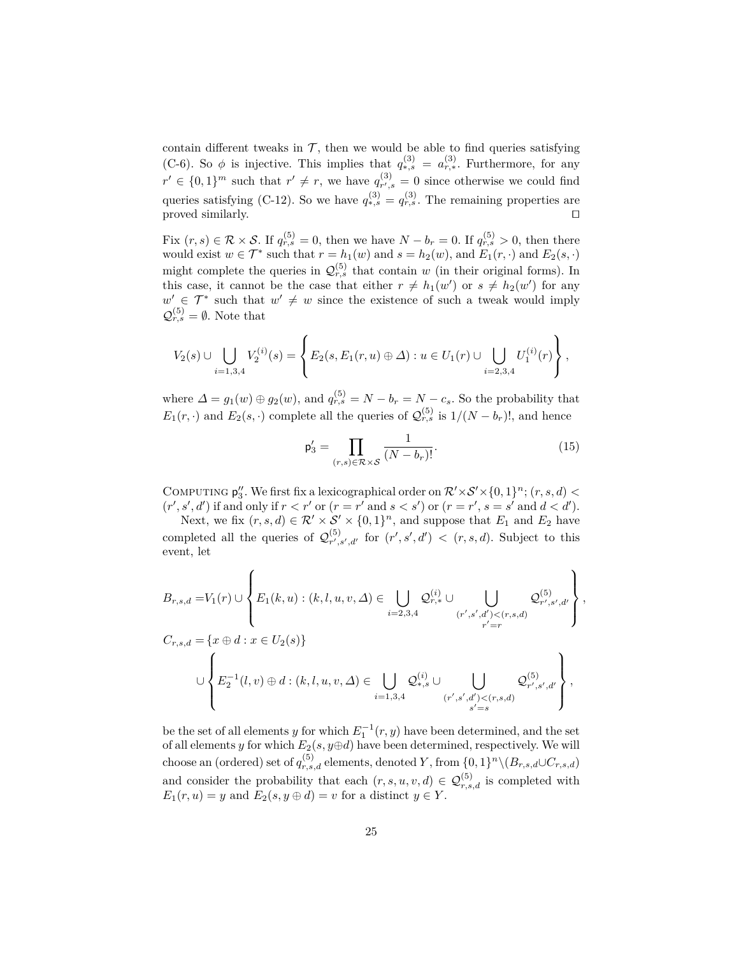contain different tweaks in  $\mathcal{T}$ , then we would be able to find queries satisfying (C-6). So  $\phi$  is injective. This implies that  $q_{*,s}^{(3)} = a_{r,*}^{(3)}$ . Furthermore, for any  $r' \in \{0,1\}^m$  such that  $r' \neq r$ , we have  $q_{r'}^{(3)}$  $r'_{r',s} = 0$  since otherwise we could find queries satisfying (C-12). So we have  $q_{*,s}^{(3)} = q_{r,s}^{(3)}$ . The remaining properties are proved similarly.  $\Box$ 

Fix  $(r, s) \in \mathcal{R} \times \mathcal{S}$ . If  $q_{r,s}^{(5)} = 0$ , then we have  $N - b_r = 0$ . If  $q_{r,s}^{(5)} > 0$ , then there would exist  $w \in \mathcal{T}^*$  such that  $r = h_1(w)$  and  $s = h_2(w)$ , and  $E_1(r, \cdot)$  and  $E_2(s, \cdot)$ might complete the queries in  $\mathcal{Q}_{r,s}^{(5)}$  that contain *w* (in their original forms). In this case, it cannot be the case that either  $r \neq h_1(w')$  or  $s \neq h_2(w')$  for any  $w' \in \mathcal{T}^*$  such that  $w' \neq w$  since the existence of such a tweak would imply  $\mathcal{Q}_{r,s}^{(5)} = \emptyset$ . Note that

$$
V_2(s) \cup \bigcup_{i=1,3,4} V_2^{(i)}(s) = \left\{ E_2(s, E_1(r, u) \oplus \Delta) : u \in U_1(r) \cup \bigcup_{i=2,3,4} U_1^{(i)}(r) \right\},\,
$$

where  $\Delta = g_1(w) \oplus g_2(w)$ , and  $q_{r,s}^{(5)} = N - b_r = N - c_s$ . So the probability that  $E_1(r, \cdot)$  and  $E_2(s, \cdot)$  complete all the queries of  $\mathcal{Q}_{r,s}^{(5)}$  is  $1/(N - b_r)!$ , and hence

<span id="page-24-0"></span>
$$
\mathsf{p}'_3 = \prod_{(r,s)\in\mathcal{R}\times\mathcal{S}} \frac{1}{(N - b_r)!}.\tag{15}
$$

COMPUTING  $\mathsf{p}''_3$ . We first fix a lexicographical order on  $\mathcal{R}'\times\mathcal{S}'\times\{0,1\}^n$ ;  $(r, s, d)$  $(r', s', d')$  if and only if  $r < r'$  or  $(r = r'$  and  $s < s')$  or  $(r = r', s = s'$  and  $d < d'$ ).

Next, we fix  $(r, s, d) \in \mathcal{R}' \times \mathcal{S}' \times \{0, 1\}^n$ , and suppose that  $E_1$  and  $E_2$  have completed all the queries of  $\mathcal{Q}_{r}^{(5)}$  $(r', s', d'$  for  $(r', s', d') < (r, s, d)$ . Subject to this event, let

$$
B_{r,s,d} = V_1(r) \cup \left\{ E_1(k,u) : (k,l,u,v,\Delta) \in \bigcup_{i=2,3,4} \mathcal{Q}_{r,*}^{(i)} \cup \bigcup_{(r',s',d') < (r,s,d)} \mathcal{Q}_{r',s',d'}^{(5)} \right\},
$$
  

$$
C_{r,s,d} = \left\{ x \oplus d : x \in U_2(s) \right\}
$$
  

$$
\cup \left\{ E_2^{-1}(l,v) \oplus d : (k,l,u,v,\Delta) \in \bigcup_{i=1,3,4} \mathcal{Q}_{*,s}^{(i)} \cup \bigcup_{(r',s',d') < (r,s,d)} \mathcal{Q}_{r',s',d'}^{(5)} \right\},
$$

be the set of all elements *y* for which  $E_1^{-1}(r, y)$  have been determined, and the set of all elements *y* for which  $E_2(s, y \oplus d)$  have been determined, respectively. We will choose an (ordered) set of  $q_{r,s,d}^{(5)}$  elements, denoted *Y*, from  $\{0,1\}^n \setminus (B_{r,s,d} \cup C_{r,s,d})$ and consider the probability that each  $(r, s, u, v, d) \in \mathcal{Q}_{r,s,d}^{(5)}$  is completed with  $E_1(r, u) = y$  and  $E_2(s, y \oplus d) = v$  for a distinct  $y \in Y$ .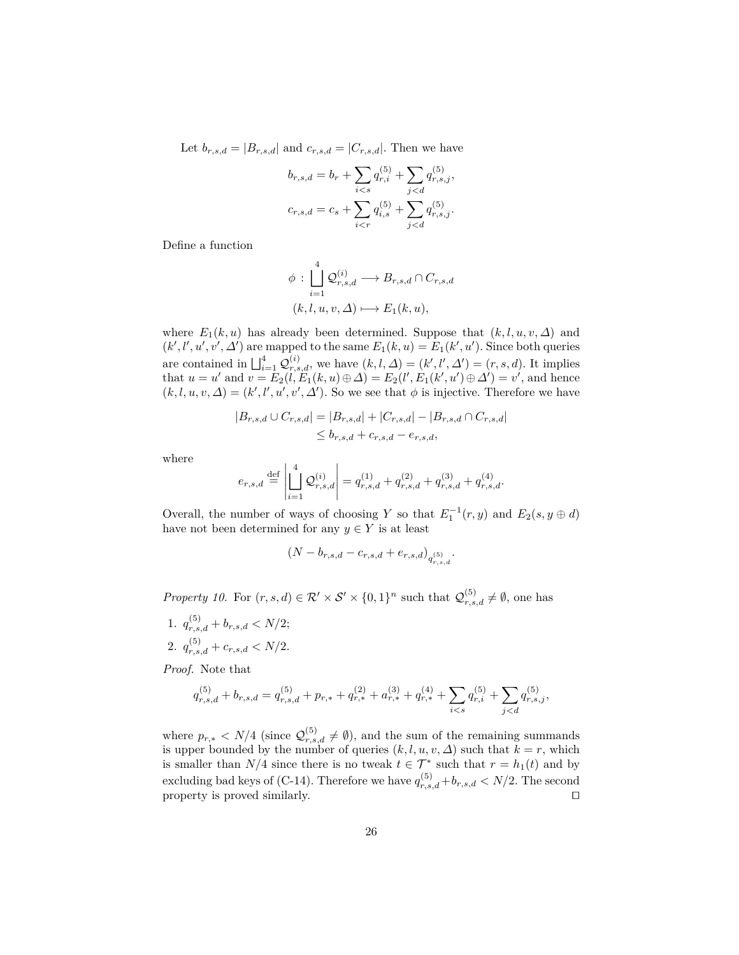Let  $b_{r,s,d} = |B_{r,s,d}|$  and  $c_{r,s,d} = |C_{r,s,d}|$ . Then we have

$$
b_{r,s,d} = b_r + \sum_{i < s} q_{r,i}^{(5)} + \sum_{j < d} q_{r,s,j}^{(5)},
$$
\n
$$
c_{r,s,d} = c_s + \sum_{i < r} q_{i,s}^{(5)} + \sum_{j < d} q_{r,s,j}^{(5)}.
$$

Define a function

$$
\phi : \bigcup_{i=1}^{4} \mathcal{Q}_{r,s,d}^{(i)} \longrightarrow B_{r,s,d} \cap C_{r,s,d}
$$

$$
(k, l, u, v, \Delta) \longmapsto E_1(k, u),
$$

where  $E_1(k, u)$  has already been determined. Suppose that  $(k, l, u, v, \Delta)$  and  $(k', l', u', v', \Delta')$  are mapped to the same  $E_1(k, u) = E_1(k', u')$ . Since both queries are contained in  $\bigsqcup_{i=1}^4 \mathcal{Q}_{r,s,d}^{(i)}$ , we have  $(k, l, \Delta) = (k', l', \Delta') = (r, s, d)$ . It implies that  $u = u'$  and  $v = E_2(i, E_1(k, u) \oplus \Delta) = E_2(i', E_1(k', u') \oplus \Delta') = v'$ , and hence  $(k, l, u, v, \Delta) = (k', l', u', v', \Delta')$ . So we see that  $\phi$  is injective. Therefore we have

$$
|B_{r,s,d} \cup C_{r,s,d}| = |B_{r,s,d}| + |C_{r,s,d}| - |B_{r,s,d} \cap C_{r,s,d}|
$$
  

$$
\leq b_{r,s,d} + c_{r,s,d} - e_{r,s,d},
$$

where

$$
e_{r,s,d} \stackrel{\text{def}}{=} \left| \bigsqcup_{i=1}^{4} \mathcal{Q}_{r,s,d}^{(i)} \right| = q_{r,s,d}^{(1)} + q_{r,s,d}^{(2)} + q_{r,s,d}^{(3)} + q_{r,s,d}^{(4)}.
$$

Overall, the number of ways of choosing *Y* so that  $E_1^{-1}(r, y)$  and  $E_2(s, y \oplus d)$ have not been determined for any  $y \in Y$  is at least

$$
(N - b_{r,s,d} - c_{r,s,d} + e_{r,s,d})_{q_{r,s,d}^{(5)}}.
$$

<span id="page-25-0"></span>*Property 10.* For  $(r, s, d) \in \mathcal{R}' \times \mathcal{S}' \times \{0, 1\}^n$  such that  $\mathcal{Q}_{r, s, d}^{(5)} \neq \emptyset$ , one has

1.  $q_{r,s,d}^{(5)} + b_{r,s,d} < N/2;$ 2.  $q_{r,s,d}^{(5)} + c_{r,s,d} < N/2$ .

*Proof.* Note that

$$
q_{r,s,d}^{(5)} + b_{r,s,d} = q_{r,s,d}^{(5)} + p_{r,*} + q_{r,*}^{(2)} + a_{r,*}^{(3)} + q_{r,*}^{(4)} + \sum_{i < s} q_{r,i}^{(5)} + \sum_{j < d} q_{r,s,j}^{(5)},
$$

where  $p_{r,*} < N/4$  (since  $\mathcal{Q}_{r,s,d}^{(5)} \neq \emptyset$ ), and the sum of the remaining summands is upper bounded by the number of queries  $(k, l, u, v, \Delta)$  such that  $k = r$ , which is smaller than  $N/4$  since there is no tweak  $t \in \mathcal{T}^*$  such that  $r = h_1(t)$  and by excluding bad keys of (C-14). Therefore we have  $q_{r,s,d}^{(5)} + b_{r,s,d} < N/2$ . The second property is proved similarly.  $\hfill \Box$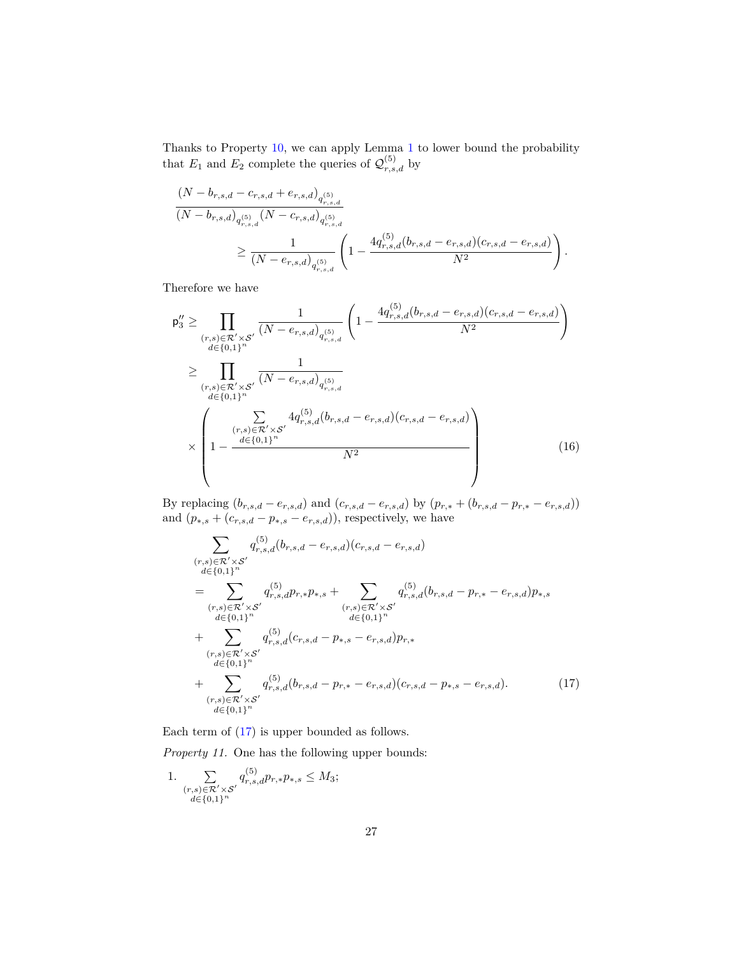Thanks to Property [10,](#page-25-0) we can apply Lemma [1](#page-4-0) to lower bound the probability that  $E_1$  and  $E_2$  complete the queries of  $\mathcal{Q}_{r,s,d}^{(5)}$  by

$$
(N - b_{r,s,d} - c_{r,s,d} + e_{r,s,d})_{q_{r,s,d}^{(5)}}(N - b_{r,s,d})_{q_{r,s,d}^{(5)}} (N - c_{r,s,d})_{q_{r,s,d}^{(5)}}\geq \frac{1}{(N - e_{r,s,d})_{q_{r,s,d}^{(5)}}} \left(1 - \frac{4q_{r,s,d}^{(5)}(b_{r,s,d} - e_{r,s,d})(c_{r,s,d} - e_{r,s,d})}{N^2}\right).
$$

Therefore we have

$$
p_3'' \ge \prod_{\substack{(r,s) \in \mathcal{R}' \times \mathcal{S}' \\ d \in \{0,1\}^n}} \frac{1}{(N - e_{r,s,d})_{q_{r,s,d}^{(5)}}} \left(1 - \frac{4q_{r,s,d}^{(5)}(b_{r,s,d} - e_{r,s,d})(c_{r,s,d} - e_{r,s,d})}{N^2}\right)
$$
  
\n
$$
\ge \prod_{\substack{(r,s) \in \mathcal{R}' \times \mathcal{S}' \\ d \in \{0,1\}^n}} \frac{1}{(N - e_{r,s,d})_{q_{r,s,d}^{(5)}}}
$$
  
\n
$$
\times \left(1 - \frac{\sum_{(r,s) \in \mathcal{R}' \times \mathcal{S}'} 4q_{r,s,d}^{(5)}(b_{r,s,d} - e_{r,s,d})(c_{r,s,d} - e_{r,s,d})}{1 - \frac{d \in \{0,1\}^n}{d \in \{0,1\}^n}}\right)
$$
(16)

By replacing  $(b_{r,s,d} - e_{r,s,d})$  and  $(c_{r,s,d} - e_{r,s,d})$  by  $(p_{r,*} + (b_{r,s,d} - p_{r,*} - e_{r,s,d}))$ and  $(p_{*,s} + (c_{r,s,d} - p_{*,s} - e_{r,s,d}))$ , respectively, we have

<span id="page-26-2"></span><span id="page-26-0"></span>
$$
\sum_{\substack{(r,s)\in\mathcal{R}'\times\mathcal{S}'\\d\in\{0,1\}^n\\r,s,\,d\neq r,s,d}}q_{r,s,d}^{(5)}(b_{r,s,d}-e_{r,s,d})(c_{r,s,d}-e_{r,s,d})
$$
\n
$$
=\sum_{\substack{(r,s)\in\mathcal{R}'\times\mathcal{S}'\\d\in\{0,1\}^n\\r,s,\,d\neq r,s,d}}q_{r,s,d}^{(5)}p_{r,*}p_{*,s}+\sum_{\substack{(r,s)\in\mathcal{R}'\times\mathcal{S}'\\d\in\{0,1\}^n\\r,s,\,d\in\{0,1\}^n\\r,s,\,d\in\{0,1\}^n}}q_{r,s,d}^{(5)}(c_{r,s,d}-p_{*,s}-e_{r,s,d})p_{r,*}
$$
\n
$$
+\sum_{\substack{(r,s)\in\mathcal{R}'\times\mathcal{S}'\\d\in\{0,1\}^n\\r,s,\,d\in\{0,1\}^n}}q_{r,s,d}^{(5)}(b_{r,s,d}-p_{r,*}-e_{r,s,d})(c_{r,s,d}-p_{*,s}-e_{r,s,d}).\tag{17}
$$

Each term of [\(17\)](#page-26-0) is upper bounded as follows.

*Property 11.* One has the following upper bounds:

<span id="page-26-1"></span>1. 
$$
\sum_{\substack{(r,s)\in \mathcal{R}'\times \mathcal{S}'\\d\in \{0,1\}^n}} q_{r,s,d}^{(5)} p_{r,*} p_{*,s} \leq M_3;
$$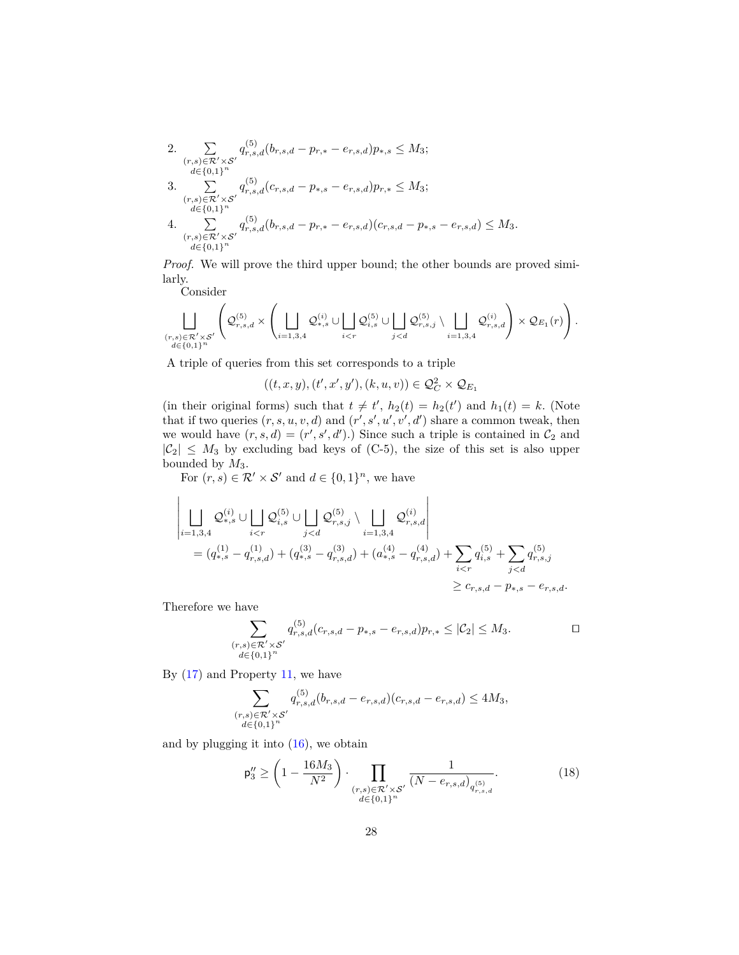2. 
$$
\sum_{\substack{(r,s)\in\mathcal{R}'\times\mathcal{S}'\\d\in\{0,1\}^n}} q_{r,s,d}^{(5)}(b_{r,s,d} - p_{r,*} - e_{r,s,d})p_{*,s} \leq M_3;
$$
  
\n3. 
$$
\sum_{\substack{(r,s)\in\mathcal{R}'\times\mathcal{S}'\\d\in\{0,1\}^n}} q_{r,s,d}^{(5)}(c_{r,s,d} - p_{*,s} - e_{r,s,d})p_{r,*} \leq M_3;
$$
  
\n4. 
$$
\sum_{\substack{(r,s)\in\mathcal{R}'\times\mathcal{S}'\\d\in\{0,1\}^n}} q_{r,s,d}^{(5)}(b_{r,s,d} - p_{r,*} - e_{r,s,d})(c_{r,s,d} - p_{*,s} - e_{r,s,d}) \leq M_3.
$$

*Proof.* We will prove the third upper bound; the other bounds are proved similarly.

Consider

$$
\bigsqcup_{\substack{(r,s)\in \mathcal{R}'\times \mathcal{S}'\\d\in \{0,1\}^n}}\left(\mathcal{Q}_{r,s,d}^{(5)}\times \left(\bigsqcup_{i=1,3,4}\mathcal{Q}_{*,s}^{(i)}\cup \bigsqcup_{i
$$

A triple of queries from this set corresponds to a triple

 $((t, x, y), (t', x', y'), (k, u, v)) \in \mathcal{Q}_{C}^{2} \times \mathcal{Q}_{E_{1}}$ 

(in their original forms) such that  $t \neq t'$ ,  $h_2(t) = h_2(t')$  and  $h_1(t) = k$ . (Note that if two queries  $(r, s, u, v, d)$  and  $(r', s', u', v', d')$  share a common tweak, then we would have  $(r, s, d) = (r', s', d')$ .) Since such a triple is contained in  $\mathcal{C}_2$  and  $|\mathcal{C}_2| \leq M_3$  by excluding bad keys of (C-5), the size of this set is also upper bounded by *M*3.

For  $(r, s) \in \mathcal{R}' \times \mathcal{S}'$  and  $d \in \{0, 1\}^n$ , we have

$$
\left| \bigcup_{i=1,3,4} \mathcal{Q}_{*,s}^{(i)} \cup \bigcup_{i < r} \mathcal{Q}_{i,s}^{(5)} \cup \bigcup_{j < d} \mathcal{Q}_{r,s,j}^{(5)} \setminus \bigcup_{i=1,3,4} \mathcal{Q}_{r,s,d}^{(i)} \right|
$$
\n
$$
= (q_{*,s}^{(1)} - q_{r,s,d}^{(1)}) + (q_{*,s}^{(3)} - q_{r,s,d}^{(3)}) + (a_{*,s}^{(4)} - q_{r,s,d}^{(4)}) + \sum_{i < r} q_{i,s}^{(5)} + \sum_{j < d} q_{r,s,j}^{(5)}
$$
\n
$$
\geq c_{r,s,d} - p_{*,s} - e_{r,s,d}.
$$

Therefore we have

j

$$
\sum_{\substack{(r,s)\in \mathcal{R}'\times \mathcal{S}'\\d\in \{0,1\}^n}} q_{r,s,d}^{(5)}(c_{r,s,d}-p_{*,s}-e_{r,s,d})p_{r,*} \leq |\mathcal{C}_2| \leq M_3.
$$

By  $(17)$  and Property [11,](#page-26-1) we have

$$
\sum_{\substack{(r,s)\in \mathcal{R}'\times \mathcal{S}'\\d\in \{0,1\}^n}} q_{r,s,d}^{(5)} (b_{r,s,d} - e_{r,s,d})(c_{r,s,d} - e_{r,s,d}) \le 4M_3,
$$

and by plugging it into [\(16\)](#page-26-2), we obtain

<span id="page-27-0"></span>
$$
\mathsf{p}_{3}^{"}\geq \left(1-\frac{16M_{3}}{N^{2}}\right)\cdot \prod_{\substack{(r,s)\in\mathcal{R}'\times\mathcal{S}'\\d\in\{0,1\}^{n}}} \frac{1}{(N-e_{r,s,d})_{q_{r,s,d}^{(5)}}}.\tag{18}
$$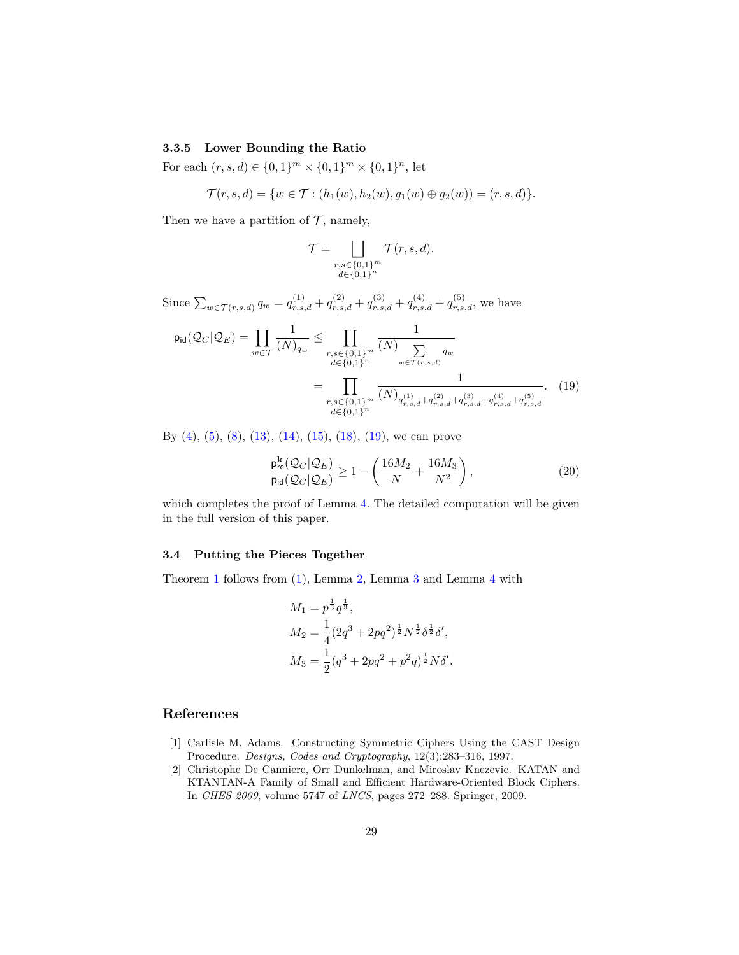### **3.3.5 Lower Bounding the Ratio**

For each  $(r, s, d) \in \{0, 1\}^m \times \{0, 1\}^m \times \{0, 1\}^n$ , let

$$
\mathcal{T}(r,s,d) = \{ w \in \mathcal{T} : (h_1(w), h_2(w), g_1(w) \oplus g_2(w)) = (r,s,d) \}.
$$

Then we have a partition of  $\mathcal{T}$ , namely,

<span id="page-28-2"></span>
$$
\mathcal{T} = \bigsqcup_{\substack{r,s \in \{0,1\}^m \\ d \in \{0,1\}^n}} \mathcal{T}(r,s,d).
$$

Since  $\sum_{w \in \mathcal{T}(r,s,d)} q_w = q_{r,s,d}^{(1)} + q_{r,s,d}^{(2)} + q_{r,s,d}^{(3)} + q_{r,s,d}^{(4)} + q_{r,s,d}^{(5)}$ , we have

$$
p_{\text{id}}(\mathcal{Q}_C|\mathcal{Q}_E) = \prod_{w \in \mathcal{T}} \frac{1}{(N)_{q_w}} \le \prod_{\substack{r,s \in \{0,1\}^m \\ d \in \{0,1\}^n}} \frac{1}{(N) \sum_{w \in \mathcal{T}(r,s,d)} q_w}
$$

$$
= \prod_{\substack{r,s \in \{0,1\}^m \\ d \in \{0,1\}^n}} \frac{1}{(N)_{q_{r,s,d}^{(1)} + q_{r,s,d}^{(2)} + q_{r,s,d}^{(3)} + q_{r,s,d}^{(4)} + q_{r,s,d}^{(5)}}.
$$
(19)

By [\(4\)](#page-17-0), [\(5\)](#page-18-1), [\(8\)](#page-21-2), [\(13\)](#page-23-0), [\(14\)](#page-23-1), [\(15\)](#page-24-0), [\(18\)](#page-27-0), [\(19\)](#page-28-2), we can prove

$$
\frac{\mathsf{p}_{\sf re}^{\bf k}(\mathcal{Q}_C|\mathcal{Q}_E)}{\mathsf{p}_{\sf id}(\mathcal{Q}_C|\mathcal{Q}_E)} \ge 1 - \left(\frac{16M_2}{N} + \frac{16M_3}{N^2}\right),\tag{20}
$$

which completes the proof of Lemma [4.](#page-13-1) The detailed computation will be given in the full version of this paper.

#### **3.4 Putting the Pieces Together**

Theorem [1](#page-7-0) follows from [\(1\)](#page-8-0), Lemma [2,](#page-7-1) Lemma [3](#page-12-0) and Lemma [4](#page-13-1) with

$$
M_1 = p^{\frac{1}{3}} q^{\frac{1}{3}},
$$
  
\n
$$
M_2 = \frac{1}{4} (2q^3 + 2pq^2)^{\frac{1}{2}} N^{\frac{1}{2}} \delta^{\frac{1}{2}} \delta',
$$
  
\n
$$
M_3 = \frac{1}{2} (q^3 + 2pq^2 + p^2 q)^{\frac{1}{2}} N \delta'.
$$

## **References**

- <span id="page-28-0"></span>[1] Carlisle M. Adams. Constructing Symmetric Ciphers Using the CAST Design Procedure. *Designs, Codes and Cryptography*, 12(3):283–316, 1997.
- <span id="page-28-1"></span>[2] Christophe De Canniere, Orr Dunkelman, and Miroslav Knezevic. KATAN and KTANTAN-A Family of Small and Efficient Hardware-Oriented Block Ciphers. In *CHES 2009*, volume 5747 of *LNCS*, pages 272–288. Springer, 2009.